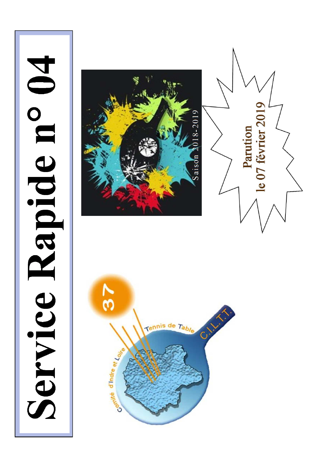# Service Rapide n° 04





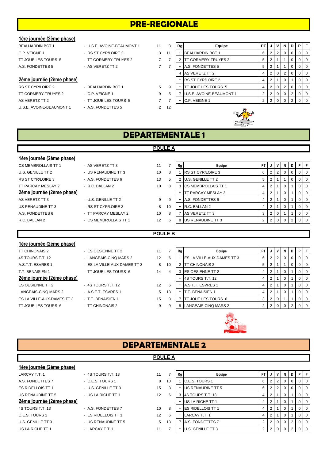# **PRE-REGIONALE**

# **1ère journée (2ème phase)**

# 2ème journée (2ème phase)

TT CORMERY-TRUYES 2 - C.P. VEIGNE 1 9 AS VERETZ TT 2  $\overline{7}$  - TT JOUE LES TOURS 5 U.S.E. AVOINE-BEAUMONT 1 - A.S. FONDETTES 5 2 12

| <b>U.F. VLIUINLI</b>      | $\sim$ NO OF UTNEVINE Z | $\cdot$ |
|---------------------------|-------------------------|---------|
| TT JOUE LES TOURS 5       | - TT CORMERY-TRUYES 2   | 7       |
| A.S. FONDETTES 5          | - AS VERETZ TT 2        |         |
| 2ème journée (2ème phase) |                         |         |
| RS ST CYR/LOIRE 2         | - BEAUJARDIN BCT 1      | 5.      |
|                           |                         |         |

| BEAUJARDIN BCT 1          | - U.S.E. AVOINE-BEAUMONT 1 | 11 | 3  | Rg | Equipe                   | PT. |                | JIVI     | -N | D | PIF            |          |
|---------------------------|----------------------------|----|----|----|--------------------------|-----|----------------|----------|----|---|----------------|----------|
| C.P. VEIGNE 1             | - RS ST CYR/LOIRE 2        | 3  | 11 |    | <b>BEAUJARDIN BCT 1</b>  | 6   | 2 <sub>1</sub> |          |    |   | 0 <sub>0</sub> |          |
| TT JOUE LES TOURS 5       | - TT CORMERY-TRUYES 2      |    |    |    | TT CORMERY-TRUYES 2      | 5   | 2              |          |    |   | $01$ 0         |          |
| A.S. FONDETTES 5          | - AS VERETZ TT 2           |    |    |    | A.S. FONDETTES 5         | 5   |                |          |    |   | $01$ 0         |          |
|                           |                            |    |    |    | 4 AS VERETZ TT 2         |     | $\overline{2}$ | $\Omega$ |    |   | $01$ 0         |          |
| 2ème journée (2ème phase) |                            |    |    |    | <b>RS ST CYR/LOIRE 2</b> |     |                |          |    |   | $01$ 0         |          |
| RS ST CYR/LOIRE 2         | - BEAUJARDIN BCT 1         | 5  | 9  |    | TT JOUE LES TOURS 5      |     | 2 <sup>1</sup> | $\Omega$ |    |   | 0 <sub>0</sub> |          |
| TT CORMERY-TRUYES 2       | $-$ C.P. VEIGNE 1          | 9  | 5  |    | U.S.E. AVOINE-BEAUMONT 1 |     | 2 <sub>1</sub> | ∣ O I    |    |   | $01$ 0         |          |
| AS VERETZ TT 2            | - TT JOUE LES TOURS 5      |    |    |    | C.P. VEIGNE 1            |     |                |          |    |   |                | $\Omega$ |
|                           |                            |    |    |    |                          |     |                |          |    |   |                |          |



# **DEPARTEMENTALE 1**

|                           |                       | <b>POULE A</b> |    |    |                            |      |                |                |    |                |                |                |
|---------------------------|-----------------------|----------------|----|----|----------------------------|------|----------------|----------------|----|----------------|----------------|----------------|
| 1ère journée (2ème phase) |                       |                |    |    |                            |      |                |                |    |                |                |                |
| CS MEMBROLLAIS TT 1       | - AS VERETZ TT 3      | 11             |    | Rg | Equipe                     | PT I | J              | V              | N  | D I            | PF             |                |
| U.S. GENILLE TT 2         | - US RENAUDINE TT 3   | 10             | 8  |    | <b>RS ST CYR/LOIRE 3</b>   | 6    | $\overline{2}$ | $\overline{2}$ | 0  | 0              |                | $01$ 0         |
| <b>RS ST CYR/LOIRE 3</b>  | - A.S. FONDETTES 6    | 13             | 5  |    | <b>U.S. GENILLE TT 2</b>   | 5    | 2              |                |    | $\overline{0}$ |                | $01$ 0         |
| TT PARCAY MESLAY 2        | $-R.C. BALLAN 2$      | 10             | 8  |    | <b>CS MEMBROLLAIS TT 1</b> | 4    | 2              |                |    |                |                | 0 <sub>0</sub> |
| 2ème journée (2ème phase) |                       |                |    |    | TT PARCAY MESLAY 2         | 4    | $\overline{2}$ |                | -0 |                |                | $0$   0        |
| AS VERETZ TT 3            | - U.S. GENILLE TT 2   | 9              | 9  |    | A.S. FONDETTES 6           |      | $\overline{2}$ |                | -0 |                |                | 0 <sub>0</sub> |
| US RENAUDINE TT 3         | - RS ST CYR/LOIRE 3   | 8              | 10 | ٠  | R.C. BALLAN 2              | 4    | $\overline{2}$ |                | 0  |                |                | $01$ 0         |
| A.S. FONDETTES 6          | - TT PARCAY MESLAY 2  | 10             | 8  |    | AS VERETZ TT 3             | 3    | 2 <sub>1</sub> | 0              |    |                |                | $0 \mid 0$     |
| R.C. BALLAN 2             | - CS MEMBROLLAIS TT 1 | 12             | 6  | 8  | <b>US RENAUDINE TT 3</b>   |      | $\overline{2}$ |                |    | 2              | 0 <sup>1</sup> |                |
|                           |                       |                |    |    |                            |      |                |                |    |                |                |                |

# **POULE B**

# **1ère journée (2ème phase)** TT CHINONAIS 2 **ES OESIENNE TT 2** 11 2ème journée (2ème phase) ES OESIENNE TT 2 - 4S TOURS T.T. 12 12 LANGEAIS-CINO MARS 2 - A STT ESVRES 1 5 ES LA VILLE-AUX-DAMES TT 3 - T.T. BENAISIEN 1 15 15

# 4S TOURS T.T. 12 - LANGEAIS-CINQ MARS 2 12 A.S.T.T. ESVRES 1 - ES LA VILLE-AUX-DAMES TT 3 3 8 T.T. BENAISIEN 1 - TT JOUE LES TOURS 6 14

- 
- TT JOUE LES TOURS 6 FIT CHINONAIS 2 9

| 7  | Rg | Equipe                     | PT             | J              | ٧ | N | D | Ρ | F        |
|----|----|----------------------------|----------------|----------------|---|---|---|---|----------|
| 6  |    | ES LA VILLE-AUX-DAMES TT 3 | 6              | 2              | 2 | 0 | 0 | 0 | 0        |
| 10 | 2  | TT CHINONAIS 2             | 5              | 2              | 1 |   | O | O | 0        |
| 4  | 3  | ES OESIENNE TT 2           | 4              | 2              |   | 0 |   | 0 | $\Omega$ |
|    |    | 4S TOURS T.T. 12           | 4              | $\overline{2}$ |   | 0 |   | 0 | $\Omega$ |
| 6  |    | A.S.T.T. ESVRES 1          | 4              | 2              |   | 0 |   | 0 | $\Omega$ |
| 13 |    | T.T. BENAISIEN 1           | 4              | 2              |   | 0 |   | 0 | $\Omega$ |
| 3  |    | TT JOUE LES TOURS 6        | 3              | $\overline{2}$ | 0 | 1 |   | 0 | $\Omega$ |
| 9  | 8  | LANGEAIS-CINQ MARS 2       | $\overline{2}$ | 2              | 0 |   | ົ |   |          |



# **DEPARTEMENTALE 2 POULE A**

# **1ère journée (2ème phase)** LARCAY T.T. 1 1 - 4S TOURS T.T. 13 11 7 **Rg** PT **PT J V N D P** A.S. FONDETTES 7 - C.E.S. TOURS 1 8 10 1 C.E.S. TOURS 1 8 10 1 C.E.S. TOURS 1 ES RIDELLOIS TT 1 - U.S. GENILLE TT 3 15 3 - US RENAUDINE TT 5 6 2 2 0 0 0 0 US RENAUDINE TT 5 - US LA RICHE TT 1 12 6 3 4S TOURS T.T. 13 4 2 1 2 1 0 1 0 0 0 **2ème journée (2ème phase)** - US LA RICHE TT 1 4 2 1 0 1 0 0 4S TOURS T.T. 13 **A.S. FONDETTES 7** 10 8 - ES RIDELLOIS TT 1 4 2 1 0 1 0 0 C.E.S. TOURS 1 - ES RIDELLOIS TT 1 12 6 - LARCAY T.T. 1 4 2 1 0 1 0 1 U.S. GENILLE TT 3 - US RENAUDINE TT 5 5 13 7 A.S. FONDETTES 7 2 2 0 0 2 0 2 US LA RICHE TT 1 - LARCAY T.T. 1 11 7 - U.S. GENILLE TT 3 2 2 0 0 0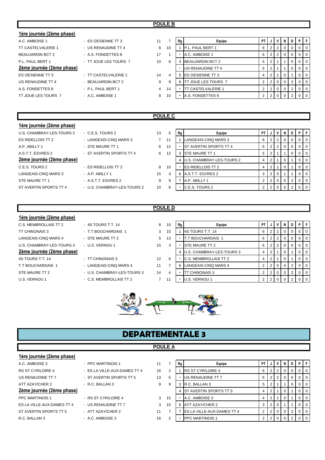| 1ère journée (2ème phase) |                       |    |    |    |                             |      |     |                         |     |          |   |                |
|---------------------------|-----------------------|----|----|----|-----------------------------|------|-----|-------------------------|-----|----------|---|----------------|
| A.C. AMBOISE 1            | - ES OESIENNE TT 3    | 11 |    | Rg | Equipe                      | PT I | J   | $\mathsf{I} \mathsf{v}$ | N   | D        | P | l Fi           |
| <b>TT CASTELVALERIE 1</b> | - US RENAUDINE TT 4   | 8  | 10 |    | P.L. PAUL BERT 1            | 6    | 212 |                         | 0   | $\Omega$ |   | $01$ 0         |
| <b>BEAUJARDIN BCT 2</b>   | - A.S. FONDETTES 8    | 17 |    |    | A.C. AMBOISE 1              | 6    |     |                         | 0   | 0        |   | $01$ 0         |
| P.L. PAUL BERT 1          | - TT JOUE LES TOURS 7 | 10 | 8  |    | <b>BEAUJARDIN BCT 2</b>     | 5    |     |                         |     | 0        |   | $0$   0        |
| 2ème journée (2ème phase) |                       |    |    |    | <b>US RENAUDINE TT 4</b>    | 5    |     |                         |     | 0        |   | $01$ 0         |
| ES OESIENNE TT 3          | - TT CASTELVALERIE 1  | 14 | 4  | 5  | <b>IES OESIENNE TT 3</b>    |      | 2   |                         |     |          |   | $0$   0        |
| US RENAUDINE TT 4         | - BEAUJARDIN BCT 2    | 9  | 9  | 6  | <b>ITT JOUE LES TOURS 7</b> |      |     | $2 \ 0$                 | - 0 | 2        |   | 0 <sup>1</sup> |
| A.S. FONDETTES 8          | - P.L. PAUL BERT 1    | 4  | 14 |    | <b>TT CASTELVALERIE 1</b>   |      |     | $\overline{0}$          |     |          |   | 0 <sup>1</sup> |
| TT JOUE LES TOURS 7       | - A.C. AMBOISE 1      | 8  | 10 |    | A.S. FONDETTES 8            |      |     |                         |     |          |   | $0$   0        |

# **POULE C**

| 1ère journée (2ème phase) |                             |    |    |    |                               |                |                |             |          |   |                |
|---------------------------|-----------------------------|----|----|----|-------------------------------|----------------|----------------|-------------|----------|---|----------------|
| U.S. CHAMBRAY-LES-TOURS 2 | - C.E.S. TOURS 2            | 13 | 5  | Rg | Equipe                        | PT I           | J              |             | N        | D | PFI            |
| ES RIDELLOIS TT 2         | - LANGEAIS-CINQ MARS 3      |    | 11 |    | LANGEAIS-CINQ MARS 3          | 6              |                | 2           | 0        |   | 0 <sub>0</sub> |
| A.P. ABILLY 1             | - STE MAURE TT 1            | 6  | 12 |    | <b>ST AVERTIN SPORTS TT 4</b> | 6              |                |             | 0        | 0 | 0 <sub>0</sub> |
| A.S.T.T. ESVRES 2         | - ST AVERTIN SPORTS TT 4    | 6  | 12 | 3  | <b>STE MAURE TT 1</b>         | 5              |                |             |          |   | 0 <sub>0</sub> |
| 2ème journée (2ème phase) |                             |    |    | 4  | U.S. CHAMBRAY-LES-TOURS 2     | 4              |                |             | $\Omega$ |   | $0$   0        |
| C.E.S. TOURS 2            | - ES RIDELLOIS TT 2         | 8  | 10 | ۰  | <b>IES RIDELLOIS TT 2</b>     | 4              | 2              |             | 0        |   | 0 <sub>0</sub> |
| LANGEAIS-CINO MARS 3      | $-$ A.P. ABILLY 1           | 15 | 3  | 6  | A.S.T.T. ESVRES 2             | 3              | $\overline{2}$ | - 0         |          |   | 0 <sub>0</sub> |
| STE MAURE TT 1            | - A.S.T.T. ESVRES 2         | 9  | 9  |    | A.P. ABILLY 1                 | $\overline{2}$ |                | $\mathbf 0$ | 0        |   | 0 <sub>0</sub> |
| ST AVERTIN SPORTS TT 4    | - U.S. CHAMBRAY-LES-TOURS 2 | 10 | я  | ۰  | C.E.S. TOURS 2                |                |                |             |          |   | $\Omega$       |
|                           |                             |    |    |    |                               |                |                |             |          |   |                |

**POULE D**

# **1ère journée (2ème phase)**

| C.S. MEMBROLLAIS TT 2     |
|---------------------------|
| TT CHINONAIS 3            |
| LANGEAIS-CINQ MARS 4      |
| U.S. CHAMBRAY-LES-TOURS 3 |
|                           |
| 2ème journée (2ème phase  |
| 4S TOURS T.T. 14          |
| T.T BOUCHARDAIS 1         |

| 4S TOURS T.T. 14  |  |
|-------------------|--|
| T.T BOUCHARDAIS 1 |  |
| STE MAURE TT 2    |  |
| U.S. VERNOU 1     |  |
|                   |  |
|                   |  |

- TT CHINONAIS 3 12 6 - LANGEAIS-CINQ MARS 4 11 7
- U.S. CHAMBRAY-LES-TOURS 3 14 4
- U.S. VERNOU 1 **EXAMPLE 1** C.S. MEMBROLLAIS TT 2 2 2 11

| THE JOURNED (THIS DIGSE)  |                             |                   |    |    |                              |           |   |          |   |    |                  |
|---------------------------|-----------------------------|-------------------|----|----|------------------------------|-----------|---|----------|---|----|------------------|
| C.S. MEMBROLLAIS TT 2     | - 4S TOURS T.T. 14          | 8                 | 10 | Rg | Equipe                       | <b>PT</b> | V | N        | D | PF |                  |
| TT CHINONAIS 3            | - T.T BOUCHARDAIS 1         | 3                 | 15 |    | 4S TOURS T.T. 14             | 6         |   | 0        |   |    | $\overline{1}$ 0 |
| LANGEAIS-CINQ MARS 4      | - STE MAURE TT 2            | 5                 | 13 |    | T.T BOUCHARDAIS 1            | 6         |   | 0        |   |    | $\overline{1}$ 0 |
| U.S. CHAMBRAY-LES-TOURS 3 | - U.S. VERNOU 1             | 15                | 3  |    | <b>STE MAURE TT 2</b>        | 6         |   | $\Omega$ |   |    | 0 <sub>0</sub>   |
| 2ème journée (2ème phase) |                             |                   |    |    | U.S. CHAMBRAY-LES-TOURS 3    | 4         |   |          |   |    | $\overline{1}$ 0 |
| 4S TOURS T.T. 14          | - TT CHINONAIS 3            | $12 \overline{ }$ | 6  |    | <b>C.S. MEMBROLLAIS TT 2</b> | 4         |   | 0        |   |    | $\overline{1}$ 0 |
| T.T BOUCHARDAIS 1         | - LANGEAIS-CINQ MARS 4      | 11                |    |    | LANGEAIS-CINQ MARS 4         |           |   | $\Omega$ |   | 0. | $\overline{1}$ 0 |
| STE MAURE TT 2            | - U.S. CHAMBRAY-LES-TOURS 3 | 14                | 4  |    | TT CHINONAIS 3               |           |   | $\Omega$ |   |    | $01$ 0           |
| U.S. VERNOU 1             | - C.S. MEMBROLLAIS TT 2     |                   | 11 |    | U.S. VERNOU 1                |           |   |          |   |    | $\overline{1}$ 0 |



# **DEPARTEMENTALE 3**

# **POULE A**

| 1ère journée (2ème phase) |                              |    |
|---------------------------|------------------------------|----|
| A.C. AMBOISE 3            | - PPC MARTINOIS 1            | 11 |
| <b>RS ST CYR/LOIRE 4</b>  | - ES LA VILLE-AUX-DAMES TT 4 | 16 |
| US RENAUDINE TT 7         | - ST AVERTIN SPORTS TT 5     | 13 |
| ATT AZAY/CHER 2           | $-R.C. BALLAN 3$             | 9  |

# 2ème journée (2ème phase)

- ES LA VILLE-AUX-DAMES TT 4 16 - ST AVERTIN SPORTS TT 5 13
- 
- 
- PPC MARTINOIS 1 RS ST CYR/LOIRE 4 3 ES LA VILLE-AUX-DAMES TT 4 - US RENAUDINE TT 7 3
- R.C. BALLAN 3 A.C. AMBOISE 3 16

| A.C. AMBOISE 3             | - PPC MARTINOIS 1            | 11 |    | Rg | Equipe                             | P <sub>1</sub> |  | N | D | PIF              |
|----------------------------|------------------------------|----|----|----|------------------------------------|----------------|--|---|---|------------------|
| RS ST CYR/LOIRE 4          | - ES LA VILLE-AUX-DAMES TT 4 | 16 |    |    | <b>RS ST CYR/LOIRE 4</b>           | 6              |  |   |   | $\overline{0}$   |
| US RENAUDINE TT 7          | - ST AVERTIN SPORTS TT 5     | 13 | 5  |    | US RENAUDINE TT 7                  | 6              |  |   |   | $\overline{1}$ 0 |
| ATT AZAY/CHER 2            | - R.C. BALLAN 3              | 9  | 9  |    | 3 R.C. BALLAN 3                    |                |  |   |   | $\overline{1}$ 0 |
| 2ème journée (2ème phase)  |                              |    |    |    | <b>IST AVERTIN SPORTS TT 5</b>     | 4              |  |   |   | 0 <sub>0</sub>   |
| PPC MARTINOIS 1            | - RS ST CYR/LOIRE 4          | 3  | 15 |    | A.C. AMBOISE 3                     |                |  |   |   | 0 <sub>0</sub>   |
| ES LA VILLE-AUX-DAMES TT 4 | - US RENAUDINE TT 7          | 3  | 15 |    | 6 ATT AZAY/CHER 2                  |                |  |   |   | $\overline{1}$ 0 |
| ST AVERTIN SPORTS TT 5     | - ATT AZAY/CHER 2            | 11 |    |    | <b>IES LA VILLE-AUX-DAMES TT 4</b> |                |  |   |   | 0 <sub>0</sub>   |
| R.C. BALLAN 3              | $-$ A.C. AMBOISE 3           | 16 |    |    | <b>PPC MARTINOIS 1</b>             |                |  |   |   | $\overline{1}$ 0 |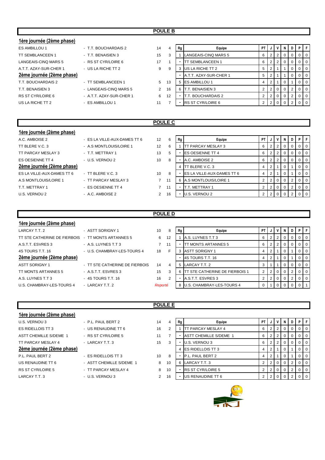# **POULE B**

| 1ère journée (2ème phase) |                          |    |    |    |                          |                |                |   |   |                |                |
|---------------------------|--------------------------|----|----|----|--------------------------|----------------|----------------|---|---|----------------|----------------|
| <b>ES AMBILLOU 1</b>      | - T.T. BOUCHARDAIS 2     | 14 |    | Rg | Equipe                   | PT             | J              | N | D | <b>P</b>       | F              |
| <b>TT SEMBLANCEEN 1</b>   | - T.T. BENAISIEN 3       | 15 | 3  |    | LANGEAIS-CINQ MARS 5     | 6              | $\overline{2}$ |   |   | $\overline{0}$ | $\overline{0}$ |
| LANGEAIS-CINO MARS 5      | - RS ST CYR/LOIRE 6      | 17 |    |    | <b>TT SEMBLANCEEN 1</b>  | 6              | $\overline{2}$ |   |   | $\overline{0}$ | $\mathbf 0$    |
| A.T.T. AZAY-SUR-CHER 1    | - US LA RICHE TT 2       | 9  | 9  |    | US LA RICHE TT 2         | 5              |                |   |   | 0 <sup>1</sup> | $\overline{0}$ |
| 2ème journée (2ème phase) |                          |    |    |    | A.T.T. AZAY-SUR-CHER 1   | 5              | 2              |   |   | $\Omega$       | $\Omega$       |
| T.T. BOUCHARDAIS 2        | - TT SEMBLANCEEN 1       | 5  | 13 | 5  | <b>ES AMBILLOU 1</b>     | 4              | 2              |   |   | $\overline{0}$ | $\overline{0}$ |
| T.T. BENAISIEN 3          | - LANGEAIS-CINO MARS 5   | 2  | 16 | 6  | T.T. BENAISIEN 3         | $\overline{2}$ | 2              | 0 | 2 | $\overline{0}$ | $\overline{0}$ |
| RS ST CYR/LOIRE 6         | - A.T.T. AZAY-SUR-CHER 1 | 6  | 12 |    | T.T. BOUCHARDAIS 2       | $\overline{2}$ | 2              |   | 2 | $\overline{0}$ | $\overline{0}$ |
| US LA RICHE TT 2          | - ES AMBILLOU 1          | 11 |    |    | <b>RS ST CYR/LOIRE 6</b> | $\overline{2}$ |                |   |   | $\Omega$       | $\overline{0}$ |
|                           |                          |    |    |    |                          |                |                |   |   |                |                |

# **POULE C**

**POULE D**

| 1ère journée (2ème phase)  |                              |                |    |    |                                    |                |   |                      |                |   |     |
|----------------------------|------------------------------|----------------|----|----|------------------------------------|----------------|---|----------------------|----------------|---|-----|
| A.C. AMBOISE 2             | - ES LA VILLE-AUX-DAMES TT 6 | 12             | 6  | Rg | Equipe                             | PT.            | J |                      | <b>NID</b>     | P |     |
| TT BLERE V.C. 3            | - A.S MONTLOUIS/LOIRE 1      | 12             | 6  |    | <b>ITT PARCAY MESLAY 3</b>         | 6              | 2 | $\overline{2}$       |                |   | l O |
| TT PARCAY MESLAY 3         | - T.T. METTRAY 1             | 13             | 5  |    | <b>IES OESIENNE TT 4</b>           | 6              | 2 | 2 <sub>1</sub>       | 0 <sup>1</sup> |   |     |
| ES OESIENNE TT 4           | - U.S. VERNOU 2              | 10             | 8  |    | A.C. AMBOISE 2                     | 6              | 2 | $\mathbf{2}^{\circ}$ |                |   | l O |
| 2ème journée (2ème phase)  |                              |                |    |    | <b>ITT BLERE V.C. 3</b>            | 4              | 2 |                      |                |   | - 0 |
| ES LA VILLE-AUX-DAMES TT 6 | $-$ TT BLERE V.C. 3          | 10             | 8  |    | <b>IES LA VILLE-AUX-DAMES TT 6</b> | 4              |   |                      |                |   |     |
| A.S MONTLOUIS/LOIRE 1      | - TT PARCAY MESLAY 3         | $\overline{7}$ | 11 | 6. | A.S MONTLOUIS/LOIRE 1              | 2              | 2 | $\overline{0}$       | $\overline{O}$ |   | - 0 |
| T.T. METTRAY 1             | - ES OESIENNE TT 4           | $\overline{7}$ | 11 |    | T.T. METTRAY 1                     | 2              | 2 | $\overline{0}$       | $\overline{0}$ |   | l O |
| U.S. VERNOU 2              | - A.C. AMBOISE 2             | 2              | 16 |    | U.S. VERNOU 2                      | $\overline{2}$ | 2 | $\Omega$             |                |   |     |
|                            |                              |                |    |    |                                    |                |   |                      |                |   |     |

| 6  | Rg | Equipe                     | PT             |                |                | N        | D              | P | F        |
|----|----|----------------------------|----------------|----------------|----------------|----------|----------------|---|----------|
| 6  |    | TT PARCAY MESLAY 3         | 6              | 2              | $\overline{2}$ | 0        | 0              | 0 | $\Omega$ |
| 5  |    | ES OESIENNE TT 4           | 6              | 2              | 2              | 0        | 0              | 0 | $\Omega$ |
| 8  |    | A.C. AMBOISE 2             | 6              | $\overline{2}$ | 2              | 0        | 0              | 0 | 0        |
|    | 4  | TT BLERE V.C. 3            | 4              | $\overline{2}$ |                | 0        |                | 0 | 0        |
| 8  |    | ES LA VILLE-AUX-DAMES TT 6 | 4              | 2              |                | $\Omega$ |                | 0 | 0        |
| 11 | 6  | A.S MONTLOUIS/LOIRE 1      | $\overline{2}$ | 2              | $\Omega$       | $\Omega$ | 2              | 0 | $\Omega$ |
| 11 |    | T.T. METTRAY 1             | $\overline{2}$ | $\overline{2}$ | $\Omega$       | $\Omega$ | $\overline{2}$ | 0 | $\Omega$ |
| 16 |    | U.S. VERNOU 2              | 2              | ◠              |                |          | າ              | 0 | 0        |

# **1ère journée (2ème phase)**

| LARCAY T.T. 2                                          | - ASTT SORIGNY 1               |
|--------------------------------------------------------|--------------------------------|
| TT STE CATHERINE DE FIERBOIS    -  TT MONTS ARTANNES 5 |                                |
| A.S.T.T. ESVRES 3                                      | - A.S. LUYNES T.T 3            |
| 4S TOURS T.T. 16                                       | - U.S. CHAMBRAY-LES-TOURS 4    |
| <u>2ème journée (2ème phase)</u>                       |                                |
| ASTT SORIGNY 1                                         | - TT STE CATHERINE DE FIERBOIS |
| TT MONTS ARTANNES 5                                    | - A.S.T.T. ESVRES 3            |
| A.S. LUYNES T.T 3                                      | - 4S TOURS T.T. 16             |
| U.S. CHAMBRAY-LES-TOURS 4                              | - LARCAY T.T. 2                |
|                                                        |                                |

| LARCAY T.T. 2             | - ASTT SORIGNY 1               | 10      | 8  | Rg | Equipe                            | <b>PT</b> |   |          |          | NDPF           |                  |
|---------------------------|--------------------------------|---------|----|----|-----------------------------------|-----------|---|----------|----------|----------------|------------------|
|                           |                                | 6       | 12 |    | A.S. LUYNES T.T 3                 | 6         |   |          |          | $\Omega$       | $\overline{1}$ 0 |
| A.S.T.T. ESVRES 3         | - A.S. LUYNES T.T 3            |         | 11 |    | <b>ITT MONTS ARTANNES 5</b>       | 6         | 2 |          |          | $\Omega$       | $\overline{1}$ 0 |
| 4S TOURS T.T. 16          | - U.S. CHAMBRAY-LES-TOURS 4    | 18      | E  |    | ASTT SORIGNY 1                    | 4         |   |          |          | $\Omega$       | $\overline{0}$   |
| 2ème journée (2ème phase) |                                |         |    |    | 4S TOURS T.T. 16                  | 4         |   |          |          | 0              | $\overline{1}$ 0 |
| ASTT SORIGNY 1            | - TT STE CATHERINE DE FIERBOIS | 14      | 4  |    | 5 LARCAY T.T. 2                   | 3         |   |          |          | 0 <sub>0</sub> |                  |
| TT MONTS ARTANNES 5       | - A S.T.T. ESVRES 3            | 15      | 3  |    | 6 ITT STE CATHERINE DE FIERBOIS 1 | 2         | 2 | $\Omega$ | $\Omega$ | 0              | $\overline{1}$ 0 |
| A.S. LUYNES T.T 3         | - 4S TOURS T.T. 16             | 16      | 2  |    | A.S.T.T. ESVRES 3                 | 2         |   | $\Omega$ | $\Omega$ | 200            |                  |
| U.S. CHAMBRAY-LES-TOURS 4 | - LARCAY T.T. 2                | Reporté |    |    | 8 U.S. CHAMBRAY-LES-TOURS 4       |           |   |          |          |                |                  |
|                           |                                |         |    |    |                                   |           |   |          |          |                |                  |

# **1ère journée (2ème phase)**

U.S. VERNOU 3 **14** P.L. PAUL BERT 2 14 ES RIDELLOIS TT 3 - US RENAUDINE TT 6 16 2ème journée (2ème phase)

**POULE E**

| ES RIDELLOIS TT 3             | - US RENAUDINE TT 6      | 16 |
|-------------------------------|--------------------------|----|
| <b>ASTT CHEMILLE S/DEME 1</b> | - RS ST CYR/LOIRE 5      | 11 |
| TT PARCAY MESLAY 4            | - LARCAY T.T. 3          | 15 |
| 2ème journée (2ème phase)     |                          |    |
| P.L. PAUL BERT 2              | - ES RIDELLOIS TT 3      | 10 |
| US RENAUDINE TT 6             | - ASTT CHEMILLE S/DEME 1 | 8  |
| <b>RS ST CYR/LOIRE 5</b>      | - TT PARCAY MESLAY 4     | 8  |

LARCAY T.T. 3 - U.S. VERNOU 3 2

| 4  | Rg | Equipe                        | PT             | J              | v              | N | D | P | F        |
|----|----|-------------------------------|----------------|----------------|----------------|---|---|---|----------|
| 2  |    | TT PARCAY MESLAY 4            | 6              | 2              | 2              | 0 | 0 | 0 | 0        |
| 7  |    | <b>ASTT CHEMILLE S/DEME 1</b> | 6              | $\overline{2}$ | $\overline{2}$ | 0 | 0 | 0 | $\Omega$ |
| 3  |    | U.S. VERNOU 3                 | 6              | $\overline{2}$ | $\overline{2}$ | 0 | 0 | 0 | $\Omega$ |
|    | 4  | ES RIDELLOIS TT 3             | 4              | $\overline{2}$ | 1              | 0 |   | 0 | 0        |
| 8  |    | P.L. PAUL BERT 2              | 4              | $\overline{2}$ | 1              | 0 |   | 0 | $\Omega$ |
| 10 | 6  | LARCAY T.T. 3                 | $\overline{2}$ | $\overline{2}$ | $\Omega$       | 0 | 2 | 0 | $\Omega$ |
| 10 |    | <b>RS ST CYR/LOIRE 5</b>      | $\overline{2}$ | $\overline{2}$ | $\Omega$       | 0 | 2 | 0 | $\Omega$ |
| 16 |    | US RENAUDINE TT 6             | $\overline{2}$ | $\overline{2}$ | O              | O | 2 |   | $\Omega$ |

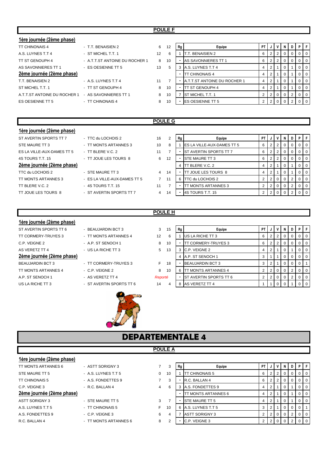# **POULE F**

| 1ère journée (2ème phase)    |                                |    |    |    |                              |                |                |                 |          |                |                   |          |
|------------------------------|--------------------------------|----|----|----|------------------------------|----------------|----------------|-----------------|----------|----------------|-------------------|----------|
| <b>TT CHINONAIS 4</b>        | - T.T. BENAISIEN 2             | 6  | 12 | Rg | Equipe                       | PT I           | J              | v               | N        | D              | $\cdot$ P $\cdot$ | ΙF       |
| A.S. LUYNES T.T 4            | - ST MICHEL T.T. 1             | 12 | 6  |    | . BENAISIEN 2                | 6              |                | $2 \mid 2 \mid$ | 0        |                |                   | l 0      |
| TT ST GENOUPH 4              | - A T T ST ANTOINE DU ROCHER 1 | 8  | 10 |    | AS SAVONNIERES TT 1          | 6              |                | 2 2             |          |                | $\overline{0}$    | <b>0</b> |
| AS SAVONNIERES TT 1          | - ES OESIENNE TT 5             | 13 | 5  | 3  | A.S. LUYNES T.T 4            | 4              | 2              |                 |          |                |                   | 0 I      |
| 2ème journée (2ème phase)    |                                |    |    |    | <b>TT CHINONAIS 4</b>        | 4              | 2 <sub>1</sub> |                 | 0        |                |                   | - 0      |
| T.T. BENAISIEN 2             | - A.S. LUYNES T.T 4            | 11 |    |    | A.T.T.ST ANTOINE DU ROCHER 1 | $\overline{4}$ | 2              |                 |          |                | $\mathbf{0}$      | 0 I      |
| ST MICHEL T.T. 1             | - TT ST GENOUPH 4              | 8  | 10 |    | <b>IT ST GENOUPH 4</b>       | 4              | 2              |                 |          |                |                   | $\Omega$ |
| A.T.T.ST ANTOINE DU ROCHER 1 | - AS SAVONNIERES TT 1          | 8  | 10 |    | <b>ST MICHEL T.T. 1</b>      | $\overline{2}$ |                | $2 \ 0$         | $\Omega$ | $\overline{2}$ |                   | l 0      |
| ES OESIENNE TT 5             | - TT CHINONAIS 4               | 8  | 10 | ٠  | <b>ES OESIENNE TT 5</b>      |                |                | 2 0             |          |                |                   | l 0      |
|                              |                                |    |    |    |                              |                |                |                 |          |                |                   |          |

# **POULE G**

| 1ère journée (2ème phase)  |                              |                |                |    |                                    |           |   |                |                |   |   |     |
|----------------------------|------------------------------|----------------|----------------|----|------------------------------------|-----------|---|----------------|----------------|---|---|-----|
| ST AVERTIN SPORTS TT 7     | - TTC du LOCHOIS 2           | 16             | $\overline{2}$ | Rg | Equipe                             | <b>PT</b> | J | <b>V</b> 1     | N I            | D | D |     |
| STE MAURE TT 3             | - TT MONTS ARTANNES 3        | 10             | 8              |    | <b>IES LA VILLE-AUX-DAMES TT 5</b> | 6         | 2 | 2 <sup>1</sup> | $\overline{0}$ |   |   |     |
| ES LA VILLE-AUX-DAMES TT 5 | - TT BLERE V.C. $2$          | 11             |                |    | <b>ST AVERTIN SPORTS TT 7</b>      | 6         | 2 | 2 <sub>1</sub> | 0 <sup>1</sup> |   |   |     |
| 4S TOURS T.T. 15           | - TT JOUE LES TOURS 8        | 6              | 12             |    | <b>ISTE MAURE TT 3</b>             | 6         | 2 | 2 <sup>1</sup> | 0 <sup>1</sup> |   |   |     |
| 2ème journée (2ème phase)  |                              |                |                |    | TT BLERE V.C. 2                    | 4         | 2 |                | $\mathbf{0}$   |   |   |     |
| TTC du LOCHOIS 2           | - STE MAURE TT 3             | $\overline{4}$ | 14             |    | TT JOUE LES TOURS 8                | 4         | 2 |                | $\overline{0}$ |   |   | - 0 |
| TT MONTS ARTANNES 3        | - ES LA VILLE-AUX-DAMES TT 5 | $7^{\circ}$    | 11             |    | 6 ITTC du LOCHOIS 2                | 2         | 2 | $\overline{0}$ | $\overline{0}$ |   |   |     |
| TT BLERE V.C. 2            | $-4S$ TOURS T.T. 15          | 11             | ⇁              |    | <b>T MONTS ARTANNES 3</b>          | 2         | 2 | $\overline{0}$ | $\overline{0}$ |   |   |     |
| TT JOUE LES TOURS 8        | - ST AVERTIN SPORTS TT 7     | $\overline{4}$ | 14             |    | 4S TOURS T.T. 15                   |           |   | $\overline{0}$ | $\Omega$       |   |   |     |
|                            |                              |                |                |    |                                    |           |   |                |                |   |   |     |

# **1ère journée (2ème phase)**

# ST AVERTIN SPORTS TT 6 **BEAUJARDIN BCT 3** 3 TT CORMERY-TRUYES 3 - TT MONTS ARTANNES 4 12 C.P. VEIGNE 2 - A.P. ST SENOCH 1 8 AS VERETZ TT 4 **DEALL AS VERETZ TT 4** 13 AS VERETZ TT 4

# 2ème journée (2ème phase)

- TT MONTS ARTANNES 4 C.P. VEIGNE 2 8 A.P. ST SENOCH 1 - AS VERETZ TT 4
- 
- 
- 
- BEAUJARDIN BCT 3 <sup>-</sup> TT CORMERY-TRUYES 3 F
	-
	-
- US LA RICHE TT 3  **ST AVERTIN SPORTS TT 6** 44



| 3       | 15 | Rg | Equipe                  | PT             | J              | V              | N        | D | P | F        |
|---------|----|----|-------------------------|----------------|----------------|----------------|----------|---|---|----------|
| 12      | 6  |    | US LA RICHE TT 3        | 6              | 2              | 2              | 0        | 0 | 0 | 0        |
| 8       | 10 |    | TT CORMERY-TRUYES 3     | 6              | 2              | $\overline{2}$ | 0        | 0 | 0 | 0        |
| 5       | 13 | 3  | C.P. VEIGNE 2           | 4              | 2              |                | 0        | 1 | 0 | 0        |
|         |    | 4  | A.P. ST SENOCH 1        | 3              |                |                | $\Omega$ | 0 | 0 | 0        |
| F       | 18 |    | <b>BEAUJARDIN BCT 3</b> | 3              | $\overline{2}$ | 4              | $\Omega$ | 0 | 0 |          |
| 8       | 10 | 6  | TT MONTS ARTANNES 4     | 2              | 2              | $\Omega$       | 0        | 2 | 0 | 0        |
| Reporté |    |    | ST AVERTIN SPORTS TT 6  | $\overline{2}$ | 2              | 0              | 0        | 2 | 0 | $\Omega$ |
| 14      | 4  | 8  | AS VERETZ TT 4          |                |                |                | 0        | 1 |   |          |



**POULE A**

| 1ère journée (2ème phase) |                       |   |    |    |                             |      |                |                |                |          |                |                |
|---------------------------|-----------------------|---|----|----|-----------------------------|------|----------------|----------------|----------------|----------|----------------|----------------|
| TT MONTS ARTANNES 6       | - ASTT SORIGNY 3      |   | 3  | Rg | Equipe                      | PT I | J              |                | N              | D        | PF             |                |
| STE MAURE TT 5            | - A.S. LUYNES T.T.5   | 0 | 10 |    | <b>ITT CHINONAIS 5</b>      | 6    | $\overline{2}$ | $\overline{2}$ | 0              |          |                | $01$ 0         |
| <b>TT CHINONAIS 5</b>     | - A.S. FONDETTES 9    |   | 3  |    | R.C. BALLAN 4               | 6    |                | 2              | 0              |          |                | 0 <sup>1</sup> |
| C.P. VEIGNE 3             | - R.C. BALLAN 4       | 4 | 6  |    | A.S. FONDETTES 9            | 4    |                |                | 0              |          |                | 0 <sup>1</sup> |
| 2ème journée (2ème phase) |                       |   |    |    | <b>ITT MONTS ARTANNES 6</b> | 4    |                |                | 0              |          | $0$   0        |                |
| <b>ASTT SORIGNY 3</b>     | - STE MAURE TT 5      | 3 |    |    | <b>STE MAURE TT 5</b>       | 4    |                |                | 0              |          | 0 <sup>1</sup> |                |
| A.S. LUYNES T.T.5         | - TT CHINONAIS 5      | F | 10 | 6  | A.S. LUYNES T.T 5           | 3    |                |                | $\overline{0}$ | $\Omega$ | $\Omega$       |                |
| A.S. FONDETTES 9          | $-C.P.$ VEIGNE 3      | 6 | 4  |    | <b>ASTT SORIGNY 3</b>       |      |                |                | 0              | $^{2}$   | 0 <sup>1</sup> |                |
| R.C. BALLAN 4             | - TT MONTS ARTANNES 6 | 8 | 2  | -  | C.P. VEIGNE 3               |      |                |                |                |          |                |                |
|                           |                       |   |    |    |                             |      |                |                |                |          |                |                |

# **POULE H**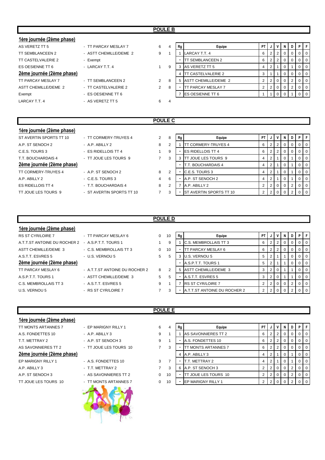# **POULE B**

| 1ère journée (2ème phase) |                        |                |   |    |                            |                |                |                 |          |    |                |                |
|---------------------------|------------------------|----------------|---|----|----------------------------|----------------|----------------|-----------------|----------|----|----------------|----------------|
| AS VERETZ TT 5            | - TT PARCAY MESLAY 7   | 6              | 4 | Rg | Equipe                     | PT             | J              |                 | <b>N</b> | D  | PF             |                |
| TT SEMBLANCEEN 2          | - ASTT CHEMILLE/DEME 2 | 9              |   |    | LARCAY T.T. 4              | 6              | 2 <sub>1</sub> | $\overline{2}$  | 0        |    | $\overline{0}$ | $\overline{0}$ |
| TT CASTELVALERIE 2        | - Exempt               |                |   |    | TT SEMBLANCEEN 2           | 6              |                | $2 \mid 2 \mid$ | 0        |    | $\overline{0}$ | <b>0</b>       |
| ES OESIENNE TT 6          | - LARCAY T.T. 4        |                | 9 | 3  | AS VERETZ TT 5             | 4              | 2 <sup>1</sup> |                 |          |    | $\overline{0}$ | $\overline{0}$ |
| 2ème journée (2ème phase) |                        |                |   | 4  | <b>ITT CASTELVALERIE 2</b> | 3              |                |                 | 0        | -0 | $\overline{0}$ | $\overline{0}$ |
| <b>TT PARCAY MESLAY 7</b> | - TT SEMBLANCEEN 2     | $\overline{2}$ | 8 | 5  | ASTT CHEMILLE/DEME 2       | $\overline{2}$ | 2 <sup>1</sup> | $\overline{0}$  | $\Omega$ |    | $\overline{0}$ | $\overline{0}$ |
| ASTT CHEMILLE/DEME 2      | - TT CASTELVALERIE 2   | $\overline{2}$ | 8 |    | <b>TT PARCAY MESLAY 7</b>  | 2              | 2 <sub>1</sub> | $\overline{0}$  |          | 2  | $\overline{0}$ | $\overline{0}$ |
| Exempt                    | - ES OESIENNE TT 6     |                |   |    | <b>IES OESIENNE TT 6</b>   |                |                | $\Omega$        |          |    | 0 <sub>0</sub> |                |
| LARCAY T.T. 4             | - AS VERETZ TT 5       | 6              | 4 |    |                            |                |                |                 |          |    |                |                |
|                           |                        |                |   |    |                            |                |                |                 |          |    |                |                |

# **POULE C**

# **1ère journée (2ème phase)**

| ST AVERTIN SPORTS TT 10    |
|----------------------------|
| A.P. ST SENOCH 2           |
| C.E.S. TOURS 3             |
| T.T. BOUCHARDAIS 4         |
|                            |
| 2ème journée (2ème phase)  |
| <b>TT CORMERY-TRUYES 4</b> |
| AP ARIIY <sub>2</sub>      |
| FS RIDELLOIS TT 4          |

| Tere journee (zeme phase)  |                           |   |
|----------------------------|---------------------------|---|
| ST AVERTIN SPORTS TT 10    | - TT CORMERY-TRUYES 4     | 2 |
| A.P. ST SENOCH 2           | $-$ A.P. ABILLY 2         | 8 |
| C.E.S. TOURS 3             | - ES RIDELLOIS TT 4       | 1 |
| T.T. BOUCHARDAIS 4         | - TT JOUE LES TOURS 9     | 7 |
| 2ème journée (2ème phase)  |                           |   |
| <b>TT CORMERY-TRUYES 4</b> | - A.P. ST SENOCH 2        | 8 |
| A.P. ABILLY 2              | - C.E.S. TOURS 3          | 4 |
| <b>ES RIDELLOIS TT 4</b>   | - T.T. BOUCHARDAIS 4      | 8 |
| TT JOUE LES TOURS 9        | - ST AVERTIN SPORTS TT 10 | 7 |

| ST AVERTIN SPORTS TT 10   | - TT CORMERY-TRUYES 4     | 2 | 8 | Rg | Equipe                          | PT I |  | N | D | PIF |                |
|---------------------------|---------------------------|---|---|----|---------------------------------|------|--|---|---|-----|----------------|
| A.P. ST SENOCH 2          | $-$ A.P. ABILLY 2         | 8 |   |    | TT CORMERY-TRUYES 4             |      |  |   |   |     | 0 0            |
| C.E.S. TOURS 3            | - ES RIDELLOIS TT 4       |   | 9 |    | <b>IES RIDELLOIS TT 4</b>       |      |  |   |   |     | 0 I O          |
| T.T. BOUCHARDAIS 4        | - TT JOUE LES TOURS 9     |   | 3 |    | <b>ITT JOUE LES TOURS 9</b>     |      |  |   |   |     | 0 I            |
| 2ème journée (2ème phase) |                           |   |   |    | <b>T.T. BOUCHARDAIS 4</b>       |      |  |   |   |     | $\overline{0}$ |
| TT CORMERY-TRUYES 4       | - A.P. ST SENOCH 2        | 8 | 2 |    | <b>C.E.S. TOURS 3</b>           |      |  |   |   |     | $\overline{0}$ |
| A.P. ABILLY 2             | $-C.E.S. TOUNS3$          | 4 | 6 |    | A.P. ST SENOCH 2                |      |  |   |   |     | $\overline{0}$ |
| ES RIDELLOIS TT 4         | - T.T. BOUCHARDAIS 4      | 8 | 2 |    | A.P. ABILLY 2                   |      |  |   |   |     | $\overline{0}$ |
| TT JOUE LES TOURS 9       | - ST AVERTIN SPORTS TT 10 |   | 3 |    | <b>IST AVERTIN SPORTS TT 10</b> |      |  |   |   |     | $\overline{0}$ |
|                           |                           |   |   |    |                                 |      |  |   |   |     |                |

# **POULE D**

| 1ère journée (2ème phase)    |                                |          |    |    |                              |           |                |                |     |   |   |                  |
|------------------------------|--------------------------------|----------|----|----|------------------------------|-----------|----------------|----------------|-----|---|---|------------------|
| <b>RS ST CYR/LOIRE 7</b>     | - TT PARCAY MESLAY 6           | $\Omega$ | 10 | Rg | Equipe                       | <b>PT</b> | J              | $\mathsf{v}$   | N I | D | P |                  |
| A.T.T.ST ANTOINE DU ROCHER 2 | - A.S.P.T.T. TOURS 1           |          | 9  |    | <b>C.S. MEMBROLLAIS TT 3</b> | 6         | 2              | 2 <sup>1</sup> |     |   |   | ΙO               |
| ASTT CHEMILLE/DEME 3         | - C.S. MEMBROLLAIS TT 3        | $\Omega$ | 10 |    | <b>ITT PARCAY MESLAY 6</b>   | 6         | 2              | 2 <sup>1</sup> |     |   |   |                  |
| A S.T.T. ESVRES 5            | - U.S. VERNOU 5                | 5        | 5  |    | U.S. VERNOU 5                | 5         | 2              |                |     |   |   | ΙO               |
| 2ème journée (2ème phase)    |                                |          |    |    | A.S.P.T.T. TOURS 1           | 5         | 2              |                |     |   |   | $\overline{1}$ 0 |
| TT PARCAY MESLAY 6           | - A.T.T.ST ANTOINE DU ROCHER 2 | 8        | 2  |    | 5 ASTT CHEMILLE/DEME 3       | 3         | $\overline{2}$ | 0              |     |   |   |                  |
| A S P T T TOURS 1            | - ASTT CHEMILLE/DEME 3         | 5        | 5  |    | A.S.T.T. ESVRES 5            | 3         | 2              | 0              |     |   |   | l O              |
| C.S. MEMBROLLAIS TT 3        | - A S.T.T. ESVRES 5            | 9        |    |    | <b>RS ST CYR/LOIRE 7</b>     | 2         | 2              | $\overline{0}$ |     |   |   | ΙO               |
| U.S. VERNOU 5                | - RS ST CYR/LOIRE 7            |          | 3  |    | A.T.T.ST ANTOINE DU ROCHER 2 | 2         | 2              | $\overline{0}$ |     |   |   | $\overline{1}$ 0 |

# **1ère journée (2ème phase)**

| TT MONTS ARTANNES 7     |
|-------------------------|
| A.S. FONDETTES 10       |
| T T METTRAY 2           |
| AS SAVONNIFRES TT 2     |
| 2ème journée (2ème phas |
|                         |
| FP MARIGNY RILLY 1      |
| A.P. ABILLY 3           |
| A.P. ST SENOCH 3        |
| TT JOUE LES TOURS 10    |

| - |  |
|---|--|
|   |  |
|   |  |

- EP MARIGNY RILLY 1 6 - A.P. ABILLY 3 9
- A.P. ST SENOCH 3 9
- TT JOUE LES TOURS 10 3 7
- A.S. FONDETTES 10 3
- A.P. ABILLY 3 T.T. METTRAY 2 7 3 6 A.P. ST SENOCH 3 2 2 0 0 2 0 0
- AS SAVONNIERES TT 2 0
- 



| 1ère journée ( <u>2ème phase)</u> |                        |                |    |    |                            |    |             |     |                |  |
|-----------------------------------|------------------------|----------------|----|----|----------------------------|----|-------------|-----|----------------|--|
| TT MONTS ARTANNES 7               | - EP MARIGNY RILLY 1   | 6              | 4  | Rg | Equipe                     | PT |             | D I |                |  |
| A.S. FONDETTES 10                 | $-$ A.P. ABILLY 3      | 9              |    |    | AS SAVONNIERES TT 2        | 6  | 2           |     |                |  |
| T.T. METTRAY 2                    | - A.P. ST SENOCH 3     | 9              |    |    | A.S. FONDETTES 10          | 6  |             |     | I 0            |  |
| AS SAVONNIERES TT 2               | - TT JOUE LES TOURS 10 | $\overline{7}$ | 3  |    | <b>TT MONTS ARTANNES 7</b> | 6  |             |     |                |  |
| 2ème journée (2ème phase)         |                        |                |    |    | 4 A.P. ABILLY 3            |    |             |     | ΙO             |  |
| EP MARIGNY RILLY 1                | - A.S. FONDETTES 10    | 3              |    |    | T.T. METTRAY 2             | 4  |             |     | I 0            |  |
| A.P. ABILLY 3                     | - T.T. METTRAY 2       | 7              | 3  |    | 6 A.P. ST SENOCH 3         |    | 2 0         |     | $\overline{0}$ |  |
| A.P. ST SENOCH 3                  | - AS SAVONNIERES TT 2  | 0              | 10 |    | TT JOUE LES TOURS 10       |    | $\mathbf 0$ |     |                |  |
| TT JOUE LES TOURS 10              | - TT MONTS ARTANNES 7  | 0              | 10 |    | <b>IEP MARIGNY RILLY 1</b> |    |             |     |                |  |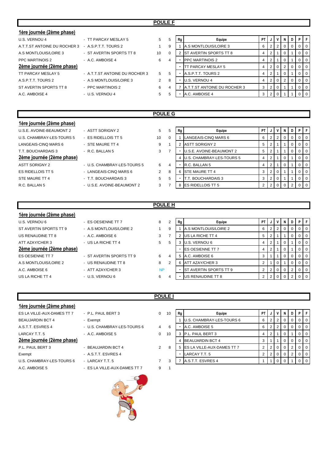# **POULE F**

| 1ère journée (2ème phase)    |                                |                |   |    |                                     |      |                |                 |    |     |        |                |
|------------------------------|--------------------------------|----------------|---|----|-------------------------------------|------|----------------|-----------------|----|-----|--------|----------------|
| U.S. VERNOU 4                | - TT PARCAY MESLAY 5           | 5              | 5 | Rg | Equipe                              | PT I |                | JIV             | N  | D I |        | P F            |
| A.T.T.ST ANTOINE DU ROCHER 3 | - A S P T T TOURS 2            |                | 9 |    | A.S MONTLOUIS/LOIRE 3               | 6    |                | $2 \mid 2 \mid$ | 0  | 0   | $01$ 0 |                |
| A.S MONTLOUIS/LOIRE 3        | - ST AVERTIN SPORTS TT 8       | 10             |   |    | <b>IST AVERTIN SPORTS TT 8</b>      | 4    | 2 <sub>1</sub> |                 |    |     |        | $01$ 0         |
| <b>PPC MARTINOIS 2</b>       | - A.C. AMBOISE 4               | 6              |   |    | <b>PPC MARTINOIS 2</b>              | 4    | $2 \mid 1$     |                 | -0 |     |        | 0 <sup>1</sup> |
| 2ème journée (2ème phase)    |                                |                |   |    | TT PARCAY MESLAY 5                  |      |                | 2 0             | 2  | 0   |        | $0$   0        |
| TT PARCAY MESLAY 5           | - A.T.T.ST ANTOINE DU ROCHER 3 | $5^{\circ}$    | 5 |    | A.S.P.T.T. TOURS 2                  |      | 2 <sub>1</sub> |                 |    |     |        | $01$ 0         |
| A.S.P.T.T. TOURS 2           | - A.S MONTLOUIS/LOIRE 3        | $\overline{2}$ | 8 |    | U.S. VERNOU 4                       |      |                | 2 0             |    | 0   | $01$ 0 |                |
| ST AVERTIN SPORTS TT 8       | - PPC MARTINOIS 2              | 6              | 4 |    | <b>A.T.T.ST ANTOINE DU ROCHER 3</b> | 3    |                | 2 0             |    |     |        | $0$ 0          |
| A.C. AMBOISE 4               | - U.S. VERNOU 4                | 5              | 5 |    | A.C. AMBOISE 4                      | 3    |                | 2 0             |    |     |        | $01$ 0         |
|                              |                                |                |   |    |                                     |      |                |                 |    |     |        |                |

# **POULE G**

| 1ère journée (2ème phase) |                             |    |   |    |                           |     |                |     |   |    |     |
|---------------------------|-----------------------------|----|---|----|---------------------------|-----|----------------|-----|---|----|-----|
| U.S.E. AVOINE-BEAUMONT 2  | - ASTT SORIGNY 2            | 5  | 5 | Rg | Equipe                    | PT. | J              | N I | D | ΡI |     |
| U.S. CHAMBRAY-LES-TOURS 5 | $-$ ES RIDELLOIS TT 5       | 10 |   |    | LANGEAIS-CINQ MARS 6      | 6   | 2              |     |   |    | ΙO  |
| LANGEAIS-CINQ MARS 6      | - STE MAURE TT 4            | 9  |   |    | <b>ASTT SORIGNY 2</b>     | 5   |                |     |   |    | ΙO  |
| T.T. BOUCHARDAIS 3        | $-R.C. BALLAN 5$            | 3  |   |    | U.S.E. AVOINE-BEAUMONT 2  | 5   | 2              |     |   |    | I 0 |
| 2ème journée (2ème phase) |                             |    |   |    | U.S. CHAMBRAY-LES-TOURS 5 | 4   |                |     |   |    | ΙO  |
| ASTT SORIGNY 2            | - U.S. CHAMBRAY-LES-TOURS 5 | 6  | 4 |    | R.C. BALLAN 5             | 4   | 2              |     |   |    | l C |
| ES RIDELLOIS TT 5         | - LANGEAIS-CINQ MARS 6      | 2  | 8 | 6  | <b>STE MAURE TT 4</b>     | 3   | $\overline{2}$ |     |   |    | l C |
| STE MAURE TT 4            | - T.T. BOUCHARDAIS 3        | 5  | 5 |    | T.T. BOUCHARDAIS 3        | 3   | 2              |     |   |    | ΙO  |
| R.C. BALLAN 5             | - U.S.E. AVOINE-BEAUMONT 2  | 3  |   | 8  | <b>ES RIDELLOIS TT 5</b>  |     |                |     |   |    |     |
|                           |                             |    |   |    |                           |     |                |     |   |    |     |

| 5              | Rg             | Equipe                    | PT             | J              |          | N | D | Ρ | F        |
|----------------|----------------|---------------------------|----------------|----------------|----------|---|---|---|----------|
| $\Omega$       |                | LANGEAIS-CINQ MARS 6      | 6              | 2              | 2        | 0 | 0 | 0 | 0        |
|                | $\overline{2}$ | <b>ASTT SORIGNY 2</b>     | 5              | 2              |          |   | 0 | 0 | 0        |
| 7              |                | U.S.E. AVOINE-BEAUMONT 2  | 5              | 2              |          |   | 0 | 0 | 0        |
|                | 4              | U.S. CHAMBRAY-LES-TOURS 5 | 4              | 2              |          | O |   | 0 | $\Omega$ |
| $\overline{4}$ |                | R.C. BALLAN 5             | 4              | 2              |          | 0 |   | 0 | 0        |
| 8              | 6              | <b>STE MAURE TT 4</b>     | 3              | $\overline{2}$ | $\Omega$ | 1 |   | 0 | $\Omega$ |
| 5              |                | T.T. BOUCHARDAIS 3        | 3              | $\overline{2}$ | $\Omega$ | 1 |   | 0 | $\Omega$ |
|                | 8              | ES RIDELLOIS TT 5         | $\overline{2}$ | ◠              |          | n | 2 | 0 | O        |

# **1ère journée (2ème phase)**

| U.S. VERNOU 6             | - ES OESIENNE TT 7       | 8  |
|---------------------------|--------------------------|----|
| ST AVERTIN SPORTS TT 9    | - A.S MONTLOUIS/LOIRE 2  | 1  |
| US RENAUDINE TT 8         | $-$ A.C. AMBOISE 6       | 3  |
| ATT AZAY/CHER 3           | - US LA RICHE TT 4       | 5  |
| 2ème journée (2ème phase) |                          |    |
| <b>ES OESIENNE TT 7</b>   | - ST AVERTIN SPORTS TT 9 | 6  |
| A.S MONTLOUIS/LOIRE 2     | - US RENAUDINE TT 8      | 8  |
| A.C. AMBOISE 6            | - ATT AZAY/CHER 3        | NI |
| US LA RICHE TT 4          | - U.S. VERNOU 6          | 6  |

# **POULE H**

| U.S. VERNOU 6             | - ES OESIENNE TT 7       | 8         | 2 | Rg | Equipe                         | PT |  | D |  |
|---------------------------|--------------------------|-----------|---|----|--------------------------------|----|--|---|--|
| ST AVERTIN SPORTS TT 9    | - A.S MONTLOUIS/LOIRE 2  |           | 9 |    | A.S MONTLOUIS/LOIRE 2          | 6  |  |   |  |
| US RENAUDINE TT 8         | - A.C. AMBOISE 6         | 3         |   |    | 2 US LA RICHE TT 4             | 5  |  |   |  |
| ATT AZAY/CHER 3           | - US LA RICHE TT 4       | 5         | 5 |    | 3 U.S. VERNOU 6                |    |  |   |  |
| 2ème journée (2ème phase) |                          |           |   |    | <b>IES OESIENNE TT 7</b>       |    |  |   |  |
| ES OESIENNE TT 7          | - ST AVERTIN SPORTS TT 9 | 6         | 4 |    | 5 A.C. AMBOISE 6               |    |  |   |  |
| A.S MONTLOUIS/LOIRE 2     | - US RENAUDINE TT 8      | 8         | 2 |    | 6 ATT AZAY/CHER 3              |    |  |   |  |
| A.C. AMBOISE 6            | - ATT AZAY/CHER 3        | <b>NP</b> |   |    | <b>IST AVERTIN SPORTS TT 9</b> |    |  |   |  |
| US LA RICHE TT 4          | - U.S. VERNOU 6          | 6         |   |    | <b>US RENAUDINE TT 8</b>       |    |  |   |  |

# **1ère journée (2ème phase)**

| - P.L. PAL   |
|--------------|
| - Exempt     |
| - U.S. CH    |
| $-$ A.C. AM  |
|              |
| - BEAUJA     |
| $-$ A.S.T.T. |
| - LARCAY     |
| - ES LA V    |
|              |

| PAUL BERT 3                                                          |
|----------------------------------------------------------------------|
| ۱pt                                                                  |
| CHAMBRAY-LES-TOURS 6                                                 |
| AMBOISE 5                                                            |
|                                                                      |
| <b>JJARDIN BCT 4</b>                                                 |
| $-T$ $\Gamma$ $\Gamma$ $\Gamma$ $\Gamma$ $\Gamma$ $\Gamma$ $\Lambda$ |

# A.C. AMBOISE 5 - ES LA VILLE-AUX-DAMES TT 7 9 1

| 1ère journée (2ème phase)                 |                                                                                                                                                                                                                                                                                                      |                |    |    |                                     |    |  |          |   |                  |
|-------------------------------------------|------------------------------------------------------------------------------------------------------------------------------------------------------------------------------------------------------------------------------------------------------------------------------------------------------|----------------|----|----|-------------------------------------|----|--|----------|---|------------------|
| ES LA VILLE-AUX-DAMES TT 7                | - P.L. PAUL BERT 3                                                                                                                                                                                                                                                                                   | 0              | 10 | Rg | Equipe                              | P1 |  | N        | D | PIF              |
| <b>BEAUJARDIN BCT 4</b>                   | - Exempt                                                                                                                                                                                                                                                                                             |                |    |    | U.S. CHAMBRAY-LES-TOURS 6           | 6  |  | $\Omega$ |   | 0 <sub>0</sub>   |
| A.S.T.T. ESVRES 4                         | - U.S. CHAMBRAY-LES-TOURS 6                                                                                                                                                                                                                                                                          | 4              | 6  |    | A.C. AMBOISE 5                      | 6  |  | $\Omega$ |   | $0$   $0$        |
| LARCAY T.T. 5                             | - A.C. AMBOISE 5                                                                                                                                                                                                                                                                                     | 0              | 10 |    | P.L. PAUL BERT 3                    | 4  |  |          |   | $\overline{1}$ 0 |
| 2ème journée (2ème phase)                 |                                                                                                                                                                                                                                                                                                      |                |    |    | <b>BEAUJARDIN BCT 4</b>             |    |  | 0        |   | 0 <sub>0</sub>   |
| P.L. PAUL BERT 3                          | - BEAUJARDIN BCT 4                                                                                                                                                                                                                                                                                   | $\overline{2}$ | 8  |    | 5 <b>ES LA VILLE-AUX-DAMES TT 7</b> |    |  |          |   | 0 <sub>0</sub>   |
| Exempt                                    | - A.S.T.T. ESVRES 4                                                                                                                                                                                                                                                                                  |                |    |    | LARCAY T.T. 5                       |    |  | $\Omega$ |   | $01$ 0           |
| U.S. CHAMBRAY-LES-TOURS 6                 | - LARCAY T.T. 5                                                                                                                                                                                                                                                                                      |                | 3  |    | A.S.T.T. ESVRES 4                   |    |  |          |   | $\overline{1}$ 0 |
| $\sim$ $\sim$ $\sim$ $\sim$ $\sim$ $\sim$ | $F \cap L$ $\wedge$ $H$ $\wedge$ $F$ $\wedge$ $H$ $\wedge$ $H$ $\wedge$ $H$ $\wedge$ $H$ $\wedge$ $H$ $\wedge$ $H$ $\wedge$ $H$ $\wedge$ $H$ $\wedge$ $H$ $\wedge$ $H$ $\wedge$ $H$ $\wedge$ $H$ $\wedge$ $H$ $\wedge$ $H$ $\wedge$ $H$ $\wedge$ $H$ $\wedge$ $H$ $\wedge$ $H$ $\wedge$ $H$ $\wedge$ |                |    |    |                                     |    |  |          |   |                  |



|  | ◡◡∟∟ |  |  |  |
|--|------|--|--|--|
|  |      |  |  |  |
|  |      |  |  |  |
|  |      |  |  |  |
|  |      |  |  |  |
|  |      |  |  |  |

**POULE I**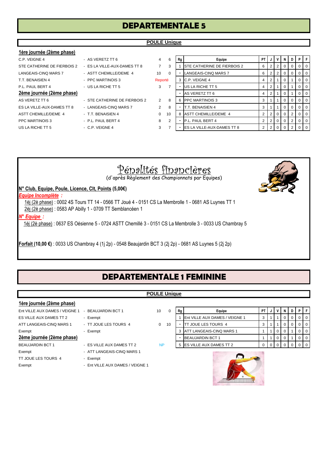# **DEPARTEMENTALE 5**

# **POULE Unique**

# **1ère journée (2ème phase)**

| C.P. VEIGNE 4               | - AS VERETZ TT 6              | 4        |
|-----------------------------|-------------------------------|----------|
| STE CATHERINE DE FIERBOIS 2 | - ES LA VILLE-AUX-DAMES TT 8  | 7        |
| LANGEAIS-CINQ MARS 7        | - ASTT CHEMILLE/DEME 4        | 10       |
| T.T. BENAISIEN 4            | - PPC MARTINOIS 3             | Rep      |
| P.L. PAUL BERT 4            | - US LA RICHE TT 5            | 3        |
| 2ème journée (2ème phase)   |                               |          |
| AS VERETZ TT 6              | - STE CATHERINE DE FIERBOIS 2 | 2        |
| ES LA VILLE-AUX-DAMES TT 8  | - LANGEAIS-CINO MARS 7        | 2        |
| <b>ASTT CHEMILLE/DEME 4</b> | - T.T. BENAISIEN 4            | $\Omega$ |
| <b>PPC MARTINOIS 3</b>      | - P.L. PAUL BERT 4            | 8        |
| US LA RICHE TT 5            | - C.P. VEIGNE 4               | 3        |

| - AS VERETZ TT 6             |
|------------------------------|
| - ES LA VILLE-AUX-DAMES TT 8 |
| - ASTT CHEMILLE/DEME 4       |

- PPC MARTINOIS 3
- US LA RICHE TT 5 3
- STE CATHERINE DE FIERBOIS 2 2
- LANGEAIS-CINQ MARS 7 2
- T.T. BENAISIEN 4 0
- PPC MARTINOIS 3 P.L. PAUL BERT 4 8 2 P.L. PAUL BERT 4 2 2 0 0 2 0 0
- 

| C.P. VEIGNE 4               | - AS VERETZ TT 6              | 4              | 6              | Rg | Equipe                              | PT I           | J              |   |   | D        | PIF            |  |
|-----------------------------|-------------------------------|----------------|----------------|----|-------------------------------------|----------------|----------------|---|---|----------|----------------|--|
| STE CATHERINE DE FIERBOIS 2 | - ES LA VILLE-AUX-DAMES TT 8  |                | 3              |    | <b>ISTE CATHERINE DE FIERBOIS 2</b> | 6              |                |   |   |          | $01$ 0         |  |
| LANGEAIS-CINQ MARS 7        | - ASTT CHEMILLE/DEME 4        | 10             | $\Omega$       |    | LANGEAIS-CINQ MARS 7                | 6              | 2 <sub>1</sub> | 2 | 0 | $\Omega$ | $01$ 0         |  |
| T.T. BENAISIEN 4            | - PPC MARTINOIS 3             | Reporté        |                |    | 3 IC.P. VEIGNE 4                    | 4              |                |   |   |          | $01$ 0         |  |
| P.L. PAUL BERT 4            | - US LA RICHE TT 5            | 3              |                |    | US LA RICHE TT 5                    | 4              |                |   |   |          | $01$ 0         |  |
| 2ème journée (2ème phase)   |                               |                |                |    | AS VERETZ TT 6                      |                |                |   |   |          | $01$ 0         |  |
| AS VERETZ TT 6              | - STE CATHERINE DE FIERBOIS 2 | $\overline{2}$ | 8              | 6  | <b>PPC MARTINOIS 3</b>              | 3              |                |   |   |          | $01$ 0         |  |
| ES LA VILLE-AUX-DAMES TT 8  | - LANGEAIS-CINQ MARS 7        | $\overline{2}$ | 8              |    | T.T. BENAISIEN 4                    | 3              |                |   | 0 | $\Omega$ | 0 <sub>0</sub> |  |
| ASTT CHEMILLE/DEME 4        | - T.T. BENAISIEN 4            | 0              | 10             |    | <b>ASTT CHEMILLE/DEME 4</b>         |                | 2 0            |   |   | 2        | $01$ 0         |  |
| PPC MARTINOIS 3             | - P.L. PAUL BERT 4            | 8              | $\overline{2}$ |    | P.L. PAUL BERT 4                    |                |                |   |   |          | $01$ 0         |  |
| US LA RICHE TT 5            | $-C.P.$ VEIGNE 4              | 3              |                |    | <b>IES LA VILLE-AUX-DAMES TT 8</b>  | 2 <sub>1</sub> | 2 0            |   |   |          | $01$ 0         |  |

# Pénalités financières

(d'après Règlement des Championnats par Equipes)

# **N° Club, Equipe, Poule, Licence, Clt, Points (5,00€)**

# *Equipe Incomplète :*

1èj (2è phase) : 0002 4S Tours TT 14 - 0566 TT Joué 4 - 0151 CS La Membrolle 1 - 0681 AS Luynes TT 1 2èj (2è phase) : 0583 AP Abilly 1 - 0709 TT Semblancéen 1

# *N° Equipe :*

1èj (2è phase) : 0637 ES Oésienne 5 - 0724 ASTT Chemillé 3 - 0151 CS La Membrolle 3 - 0033 US Chambray 5

**Forfait (10,00 €)** : 0033 US Chambray 4 (1j 2p) - 0548 Beaujardin BCT 3 (2j 2p) - 0681 AS Luynes 5 (2j 2p)

# **DEPARTEMENTALE 1 FEMININE**

# **POULE Unique**

| 1ère journée (2ème phase)      |                                  |           |    |    |                                       |     |   |   |     |   |     |    |
|--------------------------------|----------------------------------|-----------|----|----|---------------------------------------|-----|---|---|-----|---|-----|----|
| Ent VILLE AUX DAMES / VEIGNE 1 | - BEAUJARDIN BCT 1               | 10        |    | Rg | Equipe                                | PT. | J | V | N I | D | PIF |    |
| ES VILLE AUX DAMES TT 2        | - Exempt                         |           |    |    | <b>Ent VILLE AUX DAMES / VEIGNE 1</b> | 3   |   |   |     |   |     | ΙO |
| ATT LANGEAIS-CINQ MARS 1       | - TT JOUE LES TOURS 4            | $\Omega$  | 10 |    | JOUE LES TOURS 4<br>гт                | 3   |   |   |     |   |     | ΙO |
| Exempt                         | - Exempt                         |           |    |    | <b>ATT LANGEAIS-CINQ MARS 1</b>       |     |   |   |     |   |     | ΙO |
| 2ème journée (2ème phase)      |                                  |           |    |    | <b>BEAUJARDIN BCT 1</b>               |     |   |   |     |   |     | ΙO |
| <b>BEAUJARDIN BCT 1</b>        | - ES VILLE AUX DAMES TT 2        | <b>NP</b> |    | 5  | <b>ES VILLE AUX DAMES TT 2</b>        | 0   |   |   |     |   |     | ΙO |
| Exempt                         | - ATT LANGEAIS-CINQ MARS 1       |           |    |    |                                       |     |   |   |     |   |     |    |
| TT JOUE LES TOURS 4            | - Exempt                         |           |    |    | $\sim$                                |     |   |   |     |   |     |    |
| Exempt                         | - Ent VILLE AUX DAMES / VEIGNE 1 |           |    |    |                                       |     |   |   |     |   |     |    |

| 0  | Rg | Equipe                         | <b>PT</b> |  | N | D |  |
|----|----|--------------------------------|-----------|--|---|---|--|
|    |    | Ent VILLE AUX DAMES / VEIGNE 1 | 3         |  |   |   |  |
| 10 |    | TT JOUE LES TOURS 4            | 3         |  |   |   |  |
|    | 3  | ATT LANGEAIS-CINQ MARS 1       |           |  | 0 |   |  |
|    | -  | <b>BEAUJARDIN BCT 1</b>        |           |  | 0 |   |  |
|    |    | ES VILLE AUX DAMES TT 2        | 0         |  |   |   |  |



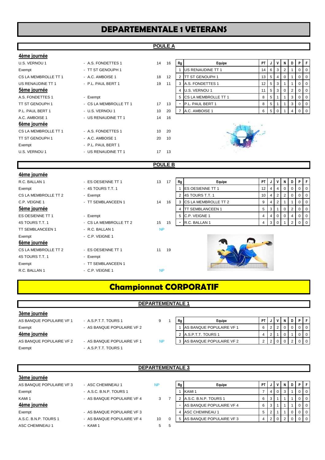# **DEPARTEMENTALE 1 VETERANS**

# **POULE A**

| 4ème journée         |                        |                 |     |    |                             |                 |                 |                |                |   |          |   |
|----------------------|------------------------|-----------------|-----|----|-----------------------------|-----------------|-----------------|----------------|----------------|---|----------|---|
| U.S. VERNOU 1        | - A.S. FONDETTES 1     | 14              | 16  | Rg | Equipe                      | PT.             |                 |                | N I            | D | P.       |   |
| Exempt               | - TT ST GENOUPH 1      |                 |     |    | US RENAUDINE TT 1           | 14              | 6               | 3              | 2              |   | 0        | O |
| CS LA MEMBROLLE TT 1 | - A.C. AMBOISE 1       | 18              | 12  |    | <b>TT ST GENOUPH 1</b>      | 13              | 5               | 4              |                |   |          |   |
| US RENAUDINE TT 1    | - P.L. PAUL BERT 1     | 19              | 11  | 3  | A.S. FONDETTES 1            | 12 <sup>2</sup> | 5               | 3              |                |   | 0        |   |
| 5ème journée         |                        |                 |     | 4  | U.S. VERNOU 1               | 11              | $5\overline{5}$ | 3 <sup>1</sup> | 0 <sup>1</sup> | 2 | 0        | O |
| A.S. FONDETTES 1     | - Exempt               |                 |     | 5  | <b>CS LA MEMBROLLE TT 1</b> | 8               | 5               |                |                | 3 | 0        |   |
| TT ST GENOUPH 1      | - CS LA MEMBROLLE TT 1 | 17              | 13  |    | P.L. PAUL BERT 1            | 8               | 5               |                |                | 3 | 0        | O |
| P.L. PAUL BERT 1     | - U.S. VERNOU 1        | 10              | 20  |    | A.C. AMBOISE 1              | 6               | 5               |                |                |   | $\Omega$ |   |
| A.C. AMBOISE 1       | - US RENAUDINE TT 1    | 14              | 16  |    |                             |                 |                 |                |                |   |          |   |
| 6ème journée         |                        |                 |     |    |                             |                 |                 |                |                |   |          |   |
| CS LA MEMBROLLE TT 1 | - A.S. FONDETTES 1     | 10 <sup>1</sup> | -20 |    |                             |                 |                 |                |                |   |          |   |
| TT ST GENOUPH 1      | - A.C. AMBOISE 1       | 20              | 10  |    |                             |                 |                 |                |                |   |          |   |
| Exempt               | - P.L. PAUL BERT 1     |                 |     |    |                             |                 |                 |                |                |   |          |   |
| U.S. VERNOU 1        | - US RENAUDINE TT 1    | 17              | 13  |    |                             |                 |                 |                |                |   |          |   |

| 16 | Rg | Equipe                  | PT | J | ν        | N | D | Р | c |
|----|----|-------------------------|----|---|----------|---|---|---|---|
|    |    | US RENAUDINE TT 1       | 14 | 6 | 3        | 2 |   | O | 0 |
| 12 | 2  | <b>ITT ST GENOUPH 1</b> | 13 | 5 | 4        | 0 |   |   | 0 |
| 11 | 3  | A.S. FONDETTES 1        | 12 | 5 | 3        |   |   |   | 0 |
|    | 4  | U.S. VERNOU 1           | 11 | 5 | 3        | 0 | 2 | 0 | 0 |
|    | 5  | CS LA MEMBROLLE TT 1    | 8  | 5 |          |   | 3 |   |   |
| 13 | -  | P.L. PAUL BERT 1        | 8  | 5 | 1        |   | 3 | 0 | 0 |
| 20 |    | A.C. AMBOISE 1          | 6  | 5 | $\Omega$ |   |   |   |   |



# **POULE B**

| 4ème journée            |                        |           |    |    |                             |    |              |   |              |                |                |           |
|-------------------------|------------------------|-----------|----|----|-----------------------------|----|--------------|---|--------------|----------------|----------------|-----------|
| R.C. BALLAN 1           | - ES OESIENNE TT 1     | 13        | 17 | Rg | Equipe                      | PT |              |   |              | D              | P              | $F$ F $F$ |
| Exempt                  | - 4S TOURS T.T. 1      |           |    |    | <b>ES OESIENNE TT 1</b>     | 12 | 4            |   | 0            | 0 <sup>1</sup> | $0$   0        |           |
| CS LA MEMBROLLE TT 2    | - Exempt               |           |    | 2  | 4S TOURS T.T. 1             | 10 | 4            |   | 2            | $\overline{0}$ | $0$   0        |           |
| C.P. VEIGNE 1           | - TT SEMBLANCEEN 1     | 14        | 16 | 3  | <b>CS LA MEMBROLLE TT 2</b> | 9  | 4            | 2 |              |                | $\overline{0}$ | l O       |
| 5ème journée            |                        |           |    |    | <b>TT SEMBLANCEEN 1</b>     | 5  | 3            |   | $\Omega$     | 2              | 0              | l O       |
| ES OESIENNE TT 1        | - Exempt               |           |    |    | 5 C.P. VEIGNE 1             | 4  | 4            | 0 | $\mathbf{0}$ | 4              | $0$   0        |           |
| 4S TOURS T.T. 1         | - CS LA MEMBROLLE TT 2 | 15        | 15 | н. | R.C. BALLAN 1               | 4  | $\mathbf{3}$ | 0 |              | $2^{\circ}$    | $0$   0        |           |
| <b>TT SEMBLANCEEN 1</b> | - R.C. BALLAN 1        | <b>NP</b> |    |    |                             |    |              |   |              |                |                |           |
| Exempt                  | - C.P. VEIGNE 1        |           |    |    |                             |    |              |   |              |                |                |           |
| 6ème journée            |                        |           |    |    | $\sim$                      |    |              |   |              |                |                |           |
| CS LA MEMBROLLE TT 2    | - ES OESIENNE TT 1     | 11        | 19 |    |                             |    |              |   |              |                |                |           |
| 4S TOURS T.T. 1         | - Exempt               |           |    |    |                             |    |              |   |              |                |                |           |
| Exempt                  | - TT SEMBLANCEEN 1     |           |    |    |                             |    |              |   |              |                |                |           |
| R.C. BALLAN 1           | - C.P. VEIGNE 1        | <b>NP</b> |    |    |                             |    |              |   |              |                |                |           |
|                         |                        |           |    |    |                             |    |              |   |              |                |                |           |

# **Championnat CORPORATIF**

# **3ème journée**

| 4ème journée             |
|--------------------------|
| Exempt                   |
| AS BANQUE POPULAIRE VF 1 |

# AS BANQUE POPULAIRE VF 2 Exempt - A.S.P.T.T. TOURS 1

| - A.S.P.T.T. TOURS 1       | 9         |  |
|----------------------------|-----------|--|
| - AS BANQUE POPULAIRE VF 2 |           |  |
| - AS BANQUE POPULAIRE VF 1 | <b>NP</b> |  |
| A C D T T TAILD C 1        |           |  |

| AS BANQUE POPULAIRE VF 1 | - A.S.P.T.T. TOURS 1       |  | Rq | Equipe                          |  |  |  |         |
|--------------------------|----------------------------|--|----|---------------------------------|--|--|--|---------|
| Exempt                   | - AS BANQUE POPULAIRE VF 2 |  |    | <b>AS BANQUE POPULAIRE VF 1</b> |  |  |  |         |
| 4ème journée             |                            |  |    | 2 A.S.P.T.T. TOURS 1            |  |  |  |         |
| AS BANQUE POPULAIRE VF 2 | - AS BANQUE POPULAIRE VF 1 |  |    | 3 AS BANQUE POPULAIRE VF 2      |  |  |  | $0$   0 |

# **DEPARTEMENTALE 3**

# **3ème journée**

| AS BANQUE POPULAIRE VF 3 |
|--------------------------|
| Exempt                   |
| KAMI 1                   |
| 4ème journée             |
| Exempt                   |
| A.S.C. B.N.P. TOURS 1    |
|                          |

| - ASC CHEMINEAU 1        |
|--------------------------|
| - A.S.C. B.N.P. TOURS 1  |
| - AS BANQUE POPULAIRE VF |
|                          |
| - AS BANQUE POPULAIRE VF |
| - AS BANQUE POPULAIRE VF |

ASC CHEMINEAU 1 - KAMI 1 5 5

| AS BANQUE POPULAIRE VF 3 | - ASC CHEMINEAU 1          | <b>NP</b> | Rg | Equipe                   | PT I |       |  | PIF |     |
|--------------------------|----------------------------|-----------|----|--------------------------|------|-------|--|-----|-----|
| Exempt                   | - A.S.C. B.N.P. TOURS 1    |           |    | KAMI 1                   |      | 4 I O |  |     | I O |
| KAMI <sub>1</sub>        | - AS BANQUE POPULAIRE VF 4 | 3         |    | A.S.C. B.N.P. TOURS 1    |      |       |  |     | 10  |
| 4ème journée             |                            |           |    | AS BANQUE POPULAIRE VF 4 | 6    |       |  |     |     |
| Exempt                   | - AS BANQUE POPULAIRE VF3  |           |    | ASC CHEMINEAU 1          | 5.   |       |  |     |     |
| A.S.C. B.N.P. TOURS 1    | - AS BANQUE POPULAIRE VF 4 | 10        | 5  | AS BANQUE POPULAIRE VF3  |      |       |  |     |     |
|                          |                            |           |    |                          |      |       |  |     |     |

# **DEPART**

| IT LUKPUKA I IF    |  |
|--------------------|--|
|                    |  |
| <b>TEMENTALE 1</b> |  |
|                    |  |
|                    |  |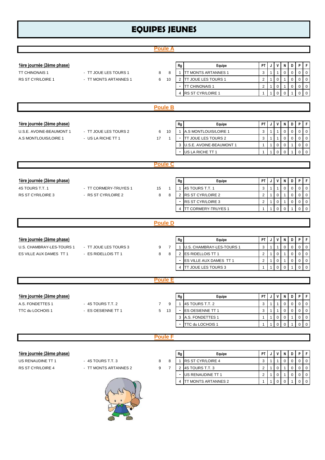# **EQUIPES JEUNES**

|                           |                       | <b>Poule A</b>      |                                               |                                                                                                           |
|---------------------------|-----------------------|---------------------|-----------------------------------------------|-----------------------------------------------------------------------------------------------------------|
|                           |                       |                     |                                               |                                                                                                           |
| 1ère journée (2ème phase) |                       |                     | Equipe<br>Rg                                  | P<br>F<br>PT<br>V<br>D<br>J<br>N                                                                          |
| TT CHINONAIS 1            | - TT JOUE LES TOURS 1 | 8<br>8              | TT MONTS ARTANNES 1<br>$\mathbf{1}$           | 3<br>$\mathbf 0$<br>$\mathbf{1}$<br>$\mathbf{1}$<br>$\mathbf 0$<br>0<br>0                                 |
| RS ST CYR/LOIRE 1         | - TT MONTS ARTANNES 1 | 10<br>6             | TT JOUE LES TOURS 1<br>$\overline{2}$         | $\overline{2}$<br>$\mathbf 0$<br>$\mathsf{O}$<br>$\mathbf 0$<br>$\mathbf{1}$<br>0                         |
|                           |                       |                     | TT CHINONAIS 1<br>$\overline{\phantom{a}}$    | $\overline{2}$<br>$\mathbf 0$<br>$\mathbf 0$<br>$\mathbf 0$<br>$\mathbf 0$<br>$\mathbf{1}$<br>1           |
|                           |                       |                     | RS ST CYR/LOIRE 1<br>$\overline{4}$           | $\mathbf 0$<br>$\mathbf{1}$<br>$\mathbf{1}$<br>$\mathbf 0$<br>$\mathbf 0$<br>$\mathbf 0$                  |
|                           |                       |                     |                                               |                                                                                                           |
|                           |                       | <b>Poule B</b>      |                                               |                                                                                                           |
|                           |                       |                     |                                               |                                                                                                           |
| 1ère journée (2ème phase) |                       |                     | Equipe<br>Rg                                  | P<br>$\mathsf F$<br>PT<br>V<br>D<br>J<br>N                                                                |
| U.S.E. AVOINE-BEAUMONT 1  | - TT JOUE LES TOURS 2 | 6<br>10             | A.S MONTLOUIS/LOIRE 1<br>$\mathbf{1}$         | 3<br>$\overline{1}$<br>$\overline{1}$<br>$\mathbf 0$<br>0<br>0<br>$\mathbf 0$                             |
| A.S MONTLOUIS/LOIRE 1     | - US LA RICHE TT 1    | 17<br>$\mathbf{1}$  | TT JOUE LES TOURS 2                           | 3<br>$\mathbf{1}$<br>$\mathbf{1}$<br>$\mathbf 0$<br>$\mathbf 0$<br>0<br>0                                 |
|                           |                       |                     | U.S.E. AVOINE-BEAUMONT 1<br>3                 | $\mathbf{1}$<br>$\mathbf 0$<br>0<br>$\mathbf 0$<br>1<br>0                                                 |
|                           |                       |                     | US LA RICHE TT 1                              | $\mathsf 0$<br>$\overline{1}$<br>$\mathbf 0$<br>$\mathbf 0$<br>$\mathbf 0$<br>$\mathbf{1}$                |
|                           |                       | <b>Poule C</b>      |                                               |                                                                                                           |
|                           |                       |                     |                                               |                                                                                                           |
| 1ère journée (2ème phase) |                       |                     | Rg<br>Equipe                                  | P<br>PT<br>V<br>N<br>D<br>F<br>J                                                                          |
| 4S TOURS T.T. 1           | - TT CORMERY-TRUYES 1 | 15<br>$\mathbf{1}$  | 4S TOURS T.T. 1<br>$\mathbf{1}$               | 3<br>$\mathbf 0$<br>$\mathbf{1}$<br>$\mathbf{1}$<br>$\mathbf 0$<br>$\mathbf 0$<br>$\mathbf 0$             |
| RS ST CYR/LOIRE 3         | - RS ST CYR/LOIRE 2   | 8<br>8              | RS ST CYR/LOIRE 2<br>$\overline{2}$           | $\overline{2}$<br>$\mathbf{1}$<br>$\pmb{0}$<br>$\mathsf{O}$<br>$\mathbf 0$<br>$\mathbf{1}$<br>$\mathbf 0$ |
|                           |                       |                     | RS ST CYR/LOIRE 3                             | $\overline{2}$<br>$\mathbf{1}$<br>0<br>$\mathbf 0$<br>$\mathbf 0$<br>0<br>1                               |
|                           |                       |                     | TT CORMERY-TRUYES 1<br>$\overline{4}$         | $\mathsf 0$<br>$\mathbf{1}$<br>$\mathbf 0$<br>0<br>0<br>$\mathbf{1}$                                      |
|                           |                       |                     |                                               |                                                                                                           |
|                           |                       |                     |                                               |                                                                                                           |
|                           |                       | <b>Poule D</b>      |                                               |                                                                                                           |
|                           |                       |                     |                                               |                                                                                                           |
| 1ère journée (2ème phase) |                       |                     | Rg<br>Equipe                                  | P<br>F<br>PT<br>V<br>N<br>D<br>J                                                                          |
| U.S. CHAMBRAY-LES-TOURS 1 | - TT JOUE LES TOURS 3 | 7<br>9              | U.S. CHAMBRAY-LES-TOURS 1<br>$\mathbf{1}$     | $\mathsf 0$<br>$\mathbf 0$<br>3<br>$\mathbf{1}$<br>$\mathbf{1}$<br>$\mathbf 0$<br>$\mathbf 0$             |
| ES VILLE AUX DAMES TT 1   | - ES RIDELLOIS TT 1   | 8<br>8              | 2 ES RIDELLOIS TT 1                           | $\overline{2}$<br>$\mathbf{1}$<br>$\pmb{0}$<br>$\mathbf 0$<br>$\mathbf 0$<br>$\mathbf 0$<br>$\mathbf{1}$  |
|                           |                       |                     | ES VILLE AUX DAMES TT 1                       | $\overline{2}$<br>$\mathbf{1}$<br>$\pmb{0}$<br>$\pmb{0}$<br>$\mathbf 0$<br>$\overline{0}$<br>$\mathbf{1}$ |
|                           |                       |                     | TT JOUE LES TOURS 3<br>$\overline{4}$         | $\mathbf 0$<br>$\mathbf{1}$<br>$\mathbf{1}$<br>$\mathbf 0$<br>0<br>$\Omega$                               |
|                           |                       | <b>Poule E</b>      |                                               |                                                                                                           |
|                           |                       |                     |                                               |                                                                                                           |
| 1ère journée (2ème phase) |                       |                     | Rg<br>Equipe                                  | V<br>D<br>P<br>F<br>PT<br>N<br>J                                                                          |
| A.S. FONDETTES 1          | - 4S TOURS T.T. 2     | 9<br>$\overline{7}$ | 4S TOURS T.T. 2<br>$\mathbf{1}$               | 3<br>$\mathbf{1}$<br>$\mathbf 0$<br>0<br>0<br>$\mathbf 0$<br>$\mathbf{1}$                                 |
| TTC du LOCHOIS 1          | - ES OESIENNE TT 1    | 5<br>13             | ES OESIENNE TT 1                              | 3<br>$\mathbf 0$<br>$\mathsf{O}\xspace$<br>$\mathbf 0$<br>$\overline{1}$<br>$\mathbf{1}$<br>$\mathbf 0$   |
|                           |                       |                     | A.S. FONDETTES 1<br>3                         | $\mathbf 0$<br>$\mathbf 0$<br>0<br>$\mathbf 0$<br>$\mathbf{1}$<br>$\mathbf{1}$<br>1                       |
|                           |                       |                     | TTC du LOCHOIS 1                              | $\mathbf 0$<br>$\mathbf 0$<br>0<br>1<br>$\mathbf{1}$<br>$\mathbf 0$                                       |
|                           |                       |                     |                                               |                                                                                                           |
|                           |                       | <b>Poule F</b>      |                                               |                                                                                                           |
|                           |                       |                     |                                               |                                                                                                           |
| 1ère journée (2ème phase) |                       |                     | ${\sf Rg}$<br>Equipe                          | V<br>P<br>$\mathsf F$<br>PT<br>N<br>D<br>J                                                                |
| US RENAUDINE TT 1         | - 4S TOURS T.T. 3     | 8<br>8              | RS ST CYR/LOIRE 4<br>$\mathbf{1}$             | $\mathbf 0$<br>3<br>$\mathbf 0$<br>0<br>$\mathbf{1}$<br>$\mathbf{1}$<br>0<br>1                            |
| RS ST CYR/LOIRE 4         | - TT MONTS ARTANNES 2 | 9<br>$\overline{7}$ | 4S TOURS T.T. 3<br>$\overline{2}$             | 2<br>$\mathbf 0$<br>0<br>0<br>0<br>0<br>$\mathbf{1}$<br>1                                                 |
|                           |                       |                     | US RENAUDINE TT 1<br>TT MONTS ARTANNES 2<br>4 | 2<br>$\mathbf 0$<br>0<br>0<br>$\mathbf 0$<br>$\mathbf{1}$<br>0<br>$\mathbf 0$<br>0<br>1                   |

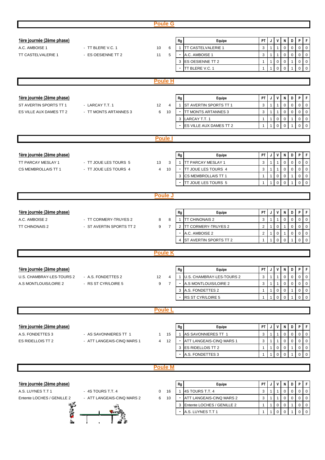|                            |                            | <b>Poule G</b>       |                          |                            |                |                |                |             |              |                     |                     |
|----------------------------|----------------------------|----------------------|--------------------------|----------------------------|----------------|----------------|----------------|-------------|--------------|---------------------|---------------------|
|                            |                            |                      |                          |                            |                |                |                |             |              |                     |                     |
| 1ère journée (2ème phase)  |                            |                      | Rg                       | Equipe                     | PT             | J              | ٧              | Ν           | D            | P                   | F                   |
| A.C. AMBOISE 1             | - TT BLERE V.C. 1          | 6                    | 1                        | TT CASTELVALERIE 1         | 3              | 1              |                | $\mathbf 0$ | $\mathbf 0$  | 0                   | $\mathbf 0$         |
| TT CASTELVALERIE 1         |                            | 10                   |                          |                            |                |                |                |             |              |                     |                     |
|                            | - ES OESIENNE TT 2         | 5<br>11              |                          | A.C. AMBOISE 1             | 3              | $\mathbf{1}$   | 1              | 0           | $\mathbf 0$  | 0                   | $\mathbf 0$         |
|                            |                            |                      | 3                        | <b>ES OESIENNE TT 2</b>    | $\mathbf{1}$   | $\mathbf{1}$   | $\mathbf 0$    | 0           | $\mathbf{1}$ | 0                   | $\pmb{0}$           |
|                            |                            |                      |                          | TT BLERE V.C. 1            | $\mathbf{1}$   | $\mathbf{1}$   | $\mathbf 0$    | 0           | 1            | 0                   | $\mathsf{O}\xspace$ |
|                            |                            | <b>Poule H</b>       |                          |                            |                |                |                |             |              |                     |                     |
|                            |                            |                      |                          |                            |                |                |                |             |              |                     |                     |
|                            |                            |                      |                          |                            |                |                |                |             |              |                     |                     |
| 1ère journée (2ème phase)  |                            |                      | Rg                       | Equipe                     | PT             | J              | V              | N           | D            | P                   | F                   |
| ST AVERTIN SPORTS TT 1     | - LARCAY T.T. 1            | 12<br>4              | 1                        | ST AVERTIN SPORTS TT 1     | 3              | $\mathbf{1}$   | $\mathbf{1}$   | $\mathbf 0$ | $\mathbf 0$  | 0                   | $\mathbf 0$         |
| ES VILLE AUX DAMES TT 2    | - TT MONTS ARTANNES 3      | 6<br>10              |                          | TT MONTS ARTANNES 3        | 3              | $\mathbf{1}$   | $\mathbf{1}$   | $\mathsf 0$ | $\mathbf 0$  | 0                   | $\pmb{0}$           |
|                            |                            |                      | 3                        | LARCAY T.T. 1              | $\mathbf{1}$   | $\overline{1}$ | $\mathbf 0$    | $\mathsf 0$ | $\mathbf{1}$ | 0                   | $\mathsf 0$         |
|                            |                            |                      |                          | ES VILLE AUX DAMES TT 2    | $\mathbf{1}$   | $\mathbf{1}$   | $\mathbf 0$    | 0           |              | $\mathbf 0$         | $\mathbf 0$         |
|                            |                            |                      |                          |                            |                |                |                |             |              |                     |                     |
|                            |                            | <b>Poule</b>         |                          |                            |                |                |                |             |              |                     |                     |
|                            |                            |                      |                          |                            |                |                |                |             |              |                     |                     |
|                            |                            |                      |                          |                            |                |                |                |             |              |                     |                     |
| 1ère journée (2ème phase)  |                            |                      | Rg                       | Equipe                     | PT             | J              | V              | N           | D            | P                   | $\mathsf F$         |
| TT PARCAY MESLAY 1         | - TT JOUE LES TOURS 5      | 3<br>13              | 1                        | TT PARCAY MESLAY 1         | 3              | 1              | 1              | $\mathbf 0$ | $\mathbf 0$  | 0                   | $\pmb{0}$           |
| CS MEMBROLLAIS TT 1        | - TT JOUE LES TOURS 4      | $\overline{4}$<br>10 |                          | TT JOUE LES TOURS 4        | 3              | 1              | 1              | 0           | $\mathbf 0$  | 0                   | $\pmb{0}$           |
|                            |                            |                      | 3                        | CS MEMBROLLAIS TT 1        | $\mathbf{1}$   | 1              | $\mathbf 0$    | 0           | $\mathbf{1}$ | $\mathbf 0$         | $\mathbf 0$         |
|                            |                            |                      |                          | TT JOUE LES TOURS 5        | 1              | 1              | $\Omega$       | 0           |              | $\mathbf 0$         | $\mathbf 0$         |
|                            |                            |                      |                          |                            |                |                |                |             |              |                     |                     |
|                            |                            | <b>Poule J</b>       |                          |                            |                |                |                |             |              |                     |                     |
|                            |                            |                      |                          |                            |                |                |                |             |              |                     |                     |
| 1ère journée (2ème phase)  |                            |                      | Rg                       | Equipe                     | PT.            | J              | V              | N           | D            | P                   | F                   |
| A.C. AMBOISE 2             | - TT CORMERY-TRUYES 2      | 8<br>8               | 1                        | TT CHINONAIS 2             | 3              | $\mathbf{1}$   | $\mathbf{1}$   | $\mathbf 0$ | $\mathbf 0$  | 0                   | $\mathbf 0$         |
| <b>TT CHINONAIS 2</b>      | - ST AVERTIN SPORTS TT 2   | $\overline{7}$<br>9  | $\overline{2}$           | <b>TT CORMERY-TRUYES 2</b> | $\overline{2}$ | 1              | $\pmb{0}$      | 1           | $\mathbf 0$  | 0                   | $\mathsf 0$         |
|                            |                            |                      | $\overline{\phantom{a}}$ | A.C. AMBOISE 2             | $\overline{2}$ | $\mathbf{1}$   | $\mathbf 0$    | 1           | $\mathbf 0$  | 0                   | $\mathsf 0$         |
|                            |                            |                      | 4                        | ST AVERTIN SPORTS TT 2     | $\mathbf{1}$   | $\mathbf 1$    | $\mathbf 0$    | $\Omega$    | 1            | $\mathbf 0$         | $\mathsf 0$         |
|                            |                            |                      |                          |                            |                |                |                |             |              |                     |                     |
|                            |                            | <b>Poule K</b>       |                          |                            |                |                |                |             |              |                     |                     |
|                            |                            |                      |                          |                            |                |                |                |             |              |                     |                     |
|                            |                            |                      |                          |                            |                |                |                |             |              |                     |                     |
| 1ère journée (2ème phase)  |                            |                      | ${\sf Rg}$               | Equipe                     | PT             | J              | V              | N           | D            | P                   | F                   |
| U.S. CHAMBRAY-LES-TOURS 2  | - A.S. FONDETTES 2         | 12<br>4              |                          | U.S. CHAMBRAY-LES-TOURS 2  | 3              |                |                | $\mathbf 0$ | $\mathbf 0$  | 0                   | $\mathbf 0$         |
| A.S MONTLOUIS/LOIRE 2      | - RS ST CYR/LOIRE 5        | $\overline{7}$<br>9  |                          | A.S MONTLOUIS/LOIRE 2      | 3              | 1              | $\mathbf{1}$   | 0           | 0            | 0                   | $\mathbf 0$         |
|                            |                            |                      | 3                        | A.S. FONDETTES 2           | $\mathbf{1}$   | 1              | 0              | 0           | 1            | 0                   | $\mathbf 0$         |
|                            |                            |                      |                          | RS ST CYR/LOIRE 5          | 1              | -1             | $\mathbf 0$    | 0           |              | $\mathbf 0$         | $\mathsf 0$         |
|                            |                            |                      |                          |                            |                |                |                |             |              |                     |                     |
|                            |                            | <b>Poule L</b>       |                          |                            |                |                |                |             |              |                     |                     |
|                            |                            |                      |                          |                            |                |                |                |             |              |                     |                     |
| 1ère journée (2ème phase)  |                            |                      | Rg                       | Equipe                     | PT             | J              | V              | Ν           | D            | P                   | F                   |
| A.S. FONDETTES 3           | - AS SAVONNIERES TT 1      | 15<br>1              |                          | AS SAVONNIERES TT 1        | 3              | 1              | $\mathbf{1}$   | 0           | $\mathbf 0$  | 0                   | $\mathsf 0$         |
| ES RIDELLOIS TT 2          | - ATT LANGEAIS-CINQ MARS 1 | 12<br>4              |                          | ATT LANGEAIS-CINQ MARS 1   | 3              | $\mathbf{1}$   | $\mathbf{1}$   | 0           | 0            | 0                   | $\mathsf{O}\xspace$ |
|                            |                            |                      | 3                        | ES RIDELLOIS TT 2          | $\mathbf{1}$   | $\mathbf{1}$   | $\mathbf 0$    | 0           | 1            | 0                   | $\mathbf 0$         |
|                            |                            |                      |                          | A.S. FONDETTES 3           | $\mathbf{1}$   | $\mathbf{1}$   | $\mathbf 0$    | $\mathbf 0$ | 1            | 0                   | $\mathsf 0$         |
|                            |                            |                      |                          |                            |                |                |                |             |              |                     |                     |
|                            |                            | <b>Poule M</b>       |                          |                            |                |                |                |             |              |                     |                     |
|                            |                            |                      |                          |                            |                |                |                |             |              |                     |                     |
| 1ère journée (2ème phase)  |                            |                      | Rg                       | Equipe                     | PT             | J              | ٧              | N           | D            | P                   | F                   |
|                            |                            |                      |                          |                            |                |                |                |             |              |                     |                     |
| A.S. LUYNES T.T 1          | - 4S TOURS T.T. 4          | 16<br>0              | $\mathbf{1}$             | 4S TOURS T.T. 4            | 3              |                | $\overline{1}$ | $\mathbf 0$ | $\mathbf 0$  | $\mathsf{O}\xspace$ | $\mathsf 0$         |
| Entente LOCHES / GENILLE 2 | - ATT LANGEAIS-CINQ MARS 2 | 10<br>6              |                          | ATT LANGEAIS-CINQ MARS 2   | 3              | 1              | $\mathbf{1}$   | $\mathbf 0$ | $\mathbf 0$  | 0                   | $\mathbf 0$         |
|                            |                            |                      | 3                        | Entente LOCHES / GENILLE 2 | 1              | 1              | 0              | 0           | 1            | 0                   | $\mathsf 0$         |
| 医腹膜炎                       |                            |                      |                          | A.S. LUYNES T.T 1          | $\mathbf{1}$   | $\mathbf 1$    | $\mathbf 0$    | $\mathbf 0$ | 1            | 0                   | $\mathsf{O}\xspace$ |
|                            |                            |                      |                          |                            |                |                |                |             |              |                     |                     |
|                            |                            |                      |                          |                            |                |                |                |             |              |                     |                     |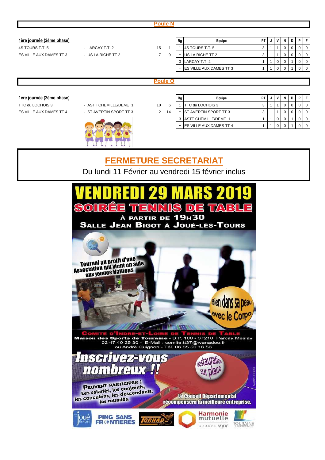|                                  |                                                   |                | <b>Poule N</b> |                |                              |              |              |                |             |          |              |              |
|----------------------------------|---------------------------------------------------|----------------|----------------|----------------|------------------------------|--------------|--------------|----------------|-------------|----------|--------------|--------------|
|                                  |                                                   |                |                |                |                              |              |              |                |             |          |              |              |
| <u>1ère journée (2ème phase)</u> |                                                   |                |                | Rg             | Equipe                       | PT           |              | ٧              | N           | D        | P            | F.           |
| 4S TOURS T.T. 5                  | - LARCAY T.T. 2                                   | 15             | -1             |                | 4S TOURS T.T. 5              | 3            |              |                | $\Omega$    | $\Omega$ | 0            | $\mathbf 0$  |
| ES VILLE AUX DAMES TT 3          | - US LA RICHE TT 2                                | $\overline{7}$ | 9              | $\blacksquare$ | US LA RICHE TT 2             | 3            |              | 1              | 0           | 0        | 0            | $\mathbf 0$  |
|                                  |                                                   |                |                | 3              | LARCAY T.T. 2                |              | 1            | 0              | 0           |          | 0            | $\mathbf 0$  |
|                                  |                                                   |                |                | $\blacksquare$ | ES VILLE AUX DAMES TT 3      | $\mathbf 1$  | $\mathbf 1$  | $\overline{0}$ | $\mathbf 0$ |          | 0            | $\mathbf{0}$ |
|                                  |                                                   |                |                |                |                              |              |              |                |             |          |              |              |
|                                  |                                                   |                | <b>Poule O</b> |                |                              |              |              |                |             |          |              |              |
|                                  |                                                   |                |                |                |                              |              |              |                |             |          |              |              |
| 1ère journée (2ème phase)        |                                                   |                |                | Rg             | Equipe                       | PT           | J            | ٧              | N           | D        | $\, {\bf P}$ | F            |
| TTC du LOCHOIS 3                 | - ASTT CHEMILLE/DEME 1                            | 10             | 6              |                | TTC du LOCHOIS 3             | 3            |              |                | 0           | 0        | 0            | $\mathbf 0$  |
| ES VILLE AUX DAMES TT 4          | - ST AVERTIN SPORT TT 3                           | $\overline{2}$ | 14             |                | <b>ST AVERTIN SPORT TT 3</b> | 3            |              |                | 0           | 0        | 0            | $\mathbf 0$  |
|                                  |                                                   |                |                | 3              | <b>ASTT CHEMILLE/DEME 1</b>  | 1            | 1            | 0              | 0           |          | $\mathbf 0$  | $\mathbf 0$  |
|                                  |                                                   |                |                |                | ES VILLE AUX DAMES TT 4      | $\mathbf{1}$ | $\mathbf{1}$ | $\overline{0}$ | $\mathbf 0$ |          | 0            | $\mathbf 0$  |
|                                  |                                                   |                |                |                |                              |              |              |                |             |          |              |              |
|                                  |                                                   |                |                |                |                              |              |              |                |             |          |              |              |
|                                  |                                                   |                |                |                |                              |              |              |                |             |          |              |              |
|                                  |                                                   |                |                |                |                              |              |              |                |             |          |              |              |
|                                  | <b>FERMETURE SECRETARIAT</b>                      |                |                |                |                              |              |              |                |             |          |              |              |
|                                  | Du lundi 11 Février au vendredi 15 février inclus |                |                |                |                              |              |              |                |             |          |              |              |
|                                  |                                                   |                |                |                |                              |              |              |                |             |          |              |              |
|                                  |                                                   |                |                |                |                              |              |              |                |             |          |              |              |

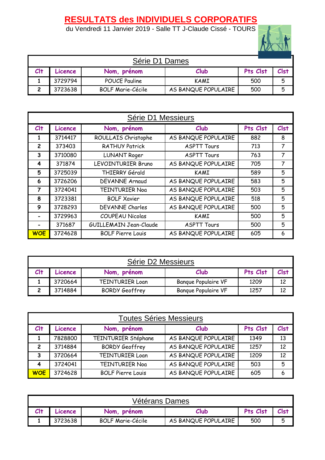# **RESULTATS des INDIVIDUELS CORPORATIFS**

du Vendredi 11 Janvier 2019 - Salle TT J-Claude Cissé - TOURS



| Série D1 Dames |         |                          |                     |          |      |  |  |  |  |
|----------------|---------|--------------------------|---------------------|----------|------|--|--|--|--|
| Clt            | Licence | Nom, prénom              | Club                | Pts Clst | Clst |  |  |  |  |
|                | 3729794 | <b>POUCE Pauline</b>     | KAMI                | 500      | 5    |  |  |  |  |
|                | 3723638 | <b>BOLF Marie-Cécile</b> | AS BANQUE POPULAIRE | 500      | Б.   |  |  |  |  |

|                | Série D1 Messieurs |                          |                     |     |                |  |  |  |  |  |  |
|----------------|--------------------|--------------------------|---------------------|-----|----------------|--|--|--|--|--|--|
| $Cl+$          | Licence            | Pts Clst                 | <b>Clst</b>         |     |                |  |  |  |  |  |  |
| 1              | 3714417            | ROULLAIS Christophe      | AS BANQUE POPULAIRE | 882 | 8              |  |  |  |  |  |  |
| $\overline{2}$ | 373403             | <b>RATHUY Patrick</b>    | <b>ASPTT Tours</b>  | 713 | $\overline{7}$ |  |  |  |  |  |  |
| 3              | 3710080            | <b>LUNANT Roger</b>      | <b>ASPTT Tours</b>  | 763 | 7              |  |  |  |  |  |  |
| 4              | 371874             | LEVOINTURIER Bruno       | AS BANQUE POPULAIRE | 705 | 7              |  |  |  |  |  |  |
| 5              | 3725039            | THIERRY Gérald           | <b>KAMI</b>         | 589 | 5              |  |  |  |  |  |  |
| 6              | 3726206            | <b>DEVANNE Arnaud</b>    | AS BANQUE POPULAIRE | 583 | 5              |  |  |  |  |  |  |
| 7              | 3724041            | <b>TEINTURIER Noa</b>    | AS BANQUE POPULAIRE | 503 | 5              |  |  |  |  |  |  |
| 8              | 3723381            | <b>BOLF Xavier</b>       | AS BANQUE POPULAIRE | 518 | 5              |  |  |  |  |  |  |
| 9              | 3728293            | <b>DEVANNE Charles</b>   | AS BANQUE POPULAIRE | 500 | 5              |  |  |  |  |  |  |
|                | 3729963            | <b>COUPEAU Nicolas</b>   | KAMI                | 500 | 5              |  |  |  |  |  |  |
|                | 371687             | GUILLEMAIN Jean-Claude   | <b>ASPTT Tours</b>  | 500 | 5              |  |  |  |  |  |  |
| <b>WOE</b>     | 3724628            | <b>BOLF Pierre Louis</b> | AS BANQUE POPULAIRE | 605 | 6              |  |  |  |  |  |  |

| Série D2 Messieurs                         |         |                        |                            |      |    |
|--------------------------------------------|---------|------------------------|----------------------------|------|----|
| Pts Clst<br>Club<br>Nom, prénom<br>Licence |         |                        |                            |      |    |
|                                            | 3720664 | <b>TEINTURIER Loan</b> | <b>Banque Populaire VF</b> | 1209 | 12 |
|                                            | 3714884 | <b>BORDY Geoffrey</b>  | Banque Populaire VF        | 1257 | 12 |

|                        | <b>Toutes Séries Messieurs</b> |                          |                     |          |                 |  |  |
|------------------------|--------------------------------|--------------------------|---------------------|----------|-----------------|--|--|
| Cl <sub>†</sub>        | Licence                        | Nom, prénom              | Club                | Pts Clst | <b>Clst</b>     |  |  |
|                        | 7828800                        | TEINTURIER Stéphane      | AS BANQUE POPULAIRE | 1349     | 13              |  |  |
| $\mathfrak{p}$         | 3714884                        | <b>BORDY Geoffrey</b>    | AS BANQUE POPULAIRE | 1257     | 12              |  |  |
| 3                      | 3720664                        | <b>TEINTURIER Loan</b>   | AS BANQUE POPULAIRE | 1209     | 12 <sup>2</sup> |  |  |
| $\boldsymbol{\Lambda}$ | 3724041                        | <b>TEINTURIER Noa</b>    | AS BANQUE POPULAIRE | 503      | 5               |  |  |
| <b>WOE</b>             | 3724628                        | <b>BOLF Pierre Louis</b> | AS BANQUE POPULAIRE | 605      | 6               |  |  |

| Vétérans Dames |         |                          |                     |          |      |  |
|----------------|---------|--------------------------|---------------------|----------|------|--|
| Clt            | Licence | Nom, prénom              | Club                | Pts Clst | Clst |  |
|                | 3723638 | <b>BOLF Marie-Cécile</b> | AS BANQUE POPULAIRE | 500      | 5    |  |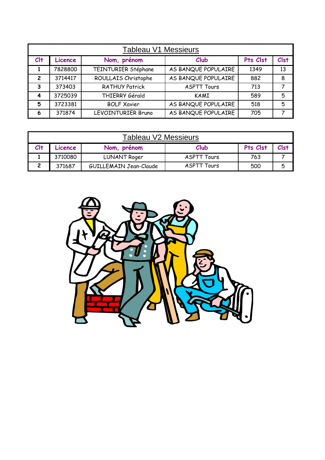|                | <b>Tableau V1 Messieurs</b> |                           |                     |          |             |  |
|----------------|-----------------------------|---------------------------|---------------------|----------|-------------|--|
| $Cl+$          | Licence                     | Nom, prénom               | Club                | Pts Clst | <b>Clst</b> |  |
|                | 7828800                     | TEINTURIER Stéphane       | AS BANQUE POPULAIRE | 1349     | 13          |  |
| $\overline{2}$ | 3714417                     | ROULLAIS Christophe       | AS BANQUE POPULAIRE | 882      | 8           |  |
| 3              | 373403                      | <b>RATHUY Patrick</b>     | <b>ASPTT Tours</b>  | 713      | 7           |  |
|                | 3725039                     | THIERRY Gérald            | KAMI                | 589      | 5           |  |
| 5              | 3723381                     | <b>BOLF Xavier</b>        | AS BANQUE POPULAIRE | 518      | 5           |  |
| 6              | 371874                      | <b>LEVOINTURIER Bruno</b> | AS BANQUE POPULAIRE | 705      |             |  |

| <b>Tableau V2 Messieurs</b>                                 |         |                        |                    |     |   |
|-------------------------------------------------------------|---------|------------------------|--------------------|-----|---|
| Pts Clst<br>$Cl+$<br>Clst<br>Club<br>Nom, prénom<br>Licence |         |                        |                    |     |   |
|                                                             | 3710080 | <b>LUNANT Roger</b>    | ASPTT Tours        | 763 |   |
|                                                             | 371687  | GUILLEMAIN Jean-Claude | <b>ASPTT Tours</b> | 500 | 5 |

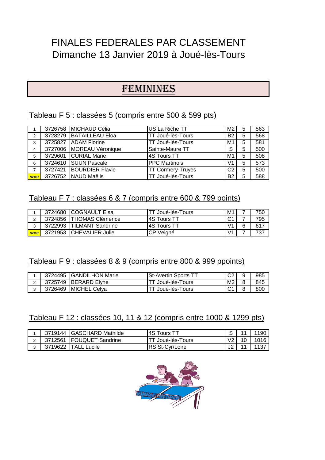# FINALES FEDERALES PAR CLASSEMENT Dimanche 13 Janvier 2019 à Joué-lès-Tours

# FEMININES

# Tableau F 5 : classées 5 (compris entre 500 & 599 pts)

|     |         | 3726758 MICHAUD Célia   | US La Riche TT           | M <sub>2</sub> | 5 | 563 |
|-----|---------|-------------------------|--------------------------|----------------|---|-----|
| 2   |         | 3728279 BATAILLEAU Eloa | TT Joué-lès-Tours        | <b>B2</b>      | 5 | 568 |
| 3   | 3725827 | <b>ADAM Florine</b>     | TT Joué-lès-Tours        | M <sub>1</sub> | 5 | 581 |
| 4   | 3727006 | MOREAU Véronique        | Sainte-Maure TT          | S              | 5 | 500 |
| 5   | 3729601 | <b>CURIAL Marie</b>     | 4S Tours TT              | M <sub>1</sub> | 5 | 508 |
| 6   | 3724610 | <b>SUUN Pascale</b>     | <b>PPC Martinois</b>     | V <sub>1</sub> | 5 | 573 |
|     | 3727421 | <b>BOURDIER Flavie</b>  | <b>TT Cormery-Truyes</b> | C <sub>2</sub> | 5 | 500 |
| woe |         | 3726752 NAUD Maëlis     | TT Joué-lès-Tours        | <b>B2</b>      | 5 | 588 |

# Tableau F 7 : classées 6 & 7 (compris entre 600 & 799 points)

|        | 3724680 | <b>ICOGNAULT Elsa</b>     | TT Joué-lès-Tours   | M1             | 750 |
|--------|---------|---------------------------|---------------------|----------------|-----|
|        |         | 3724856   THOMAS Clémence | <b>IAS Tours TT</b> | C <sup>1</sup> | 795 |
| $\sim$ | 3722993 | <b>ITILMANT Sandrine</b>  | <b>IAS Tours TT</b> | V <sub>1</sub> | 617 |
| l woe  | 3721953 | <b>ICHEVALIER Julie</b>   | CP.<br>Veiané       | V <sub>1</sub> | 737 |

# Tableau F 9 : classées 8 & 9 (compris entre 800 & 999 ppoints)

| 3724495 | <b>IGANDILHON Marie</b> | <b>ISt-Avertin Sports TT</b> | റാ     | 985 |
|---------|-------------------------|------------------------------|--------|-----|
| 3725749 | <b>IBERARD Elvne</b>    | ≒Joué-lès-Tours              | M2     | 845 |
| 3726469 | <b>IMICHEL Celva</b>    | Joué-lès-Tours               | $\sim$ | 800 |

# Tableau F 12 : classées 10, 11 & 12 (compris entre 1000 & 1299 pts)

| 3719144 | <b>IGASCHARD Mathilde</b> | 14S Tours TT      | ⌒  | 1190 |
|---------|---------------------------|-------------------|----|------|
| 3712561 | <b>IFOUQUET Sandrine</b>  | TT Joué-lès-Tours |    | 1016 |
| 3719622 | . Lucile<br>TALL          | IRS St-Cvr/Loire  | J2 |      |

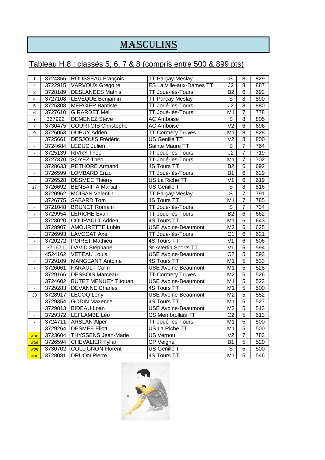# MASCULINS

# Tableau H 8 : classés 5, 6, 7 & 8 (compris entre 500 & 899 pts)

| 1                            | 3724356 | <b>ROUSSEAU François</b>    | TT Parçay-Meslay            | $\overline{\mathsf{s}}$  | $\overline{8}$ | 829              |
|------------------------------|---------|-----------------------------|-----------------------------|--------------------------|----------------|------------------|
| $\overline{2}$               | 3722915 | <b>VARVOUX Grégoire</b>     | ES La Ville-aux-Dames TT    | $\overline{J2}$          | $\overline{8}$ | 887              |
| 3                            | 3728189 | <b>DESLANDES Mathis</b>     | TT Joué-lès-Tours           | B2                       | $\overline{6}$ | 692              |
| $\overline{4}$               | 3727108 | <b>LEVEQUE Benjamin</b>     | <b>TT Parçay-Meslay</b>     | $\overline{\mathsf{s}}$  | $\overline{8}$ | 890              |
| 5                            | 3725308 | <b>MERCIER Baptiste</b>     | TT Joué-lès-Tours           | $\overline{J2}$          | $\overline{8}$ | 880              |
| 6                            | 3727610 | <b>GIRARDET Mel</b>         | TT Joué-lès-Tours           | M <sub>1</sub>           | $\overline{7}$ | $\overline{778}$ |
| $\overline{7}$               | 367992  | <b>DEMENEZ Steve</b>        | <b>AC Amboise</b>           | $\overline{s}$           | $\overline{8}$ | 805              |
| $\overline{\phantom{a}}$     | 3730475 | <b>COURTOIS Christophe</b>  | <b>AC Amboise</b>           | $\overline{V2}$          | $\overline{6}$ | 696              |
| 9                            | 3726053 | <b>DUPUY Adrien</b>         | <b>TT Cormery Truyes</b>    | $\overline{M1}$          | $\overline{8}$ | 828              |
| $\blacksquare$               | 3725661 | <b>DESJOUIS Frédéric</b>    | US Genillé TT               | $\overline{V}$           | $\overline{8}$ | 800              |
| $\overline{a}$               | 3724684 | <b>LEDUC Julien</b>         | Sainte Maure TT             | $\overline{\mathsf{s}}$  | $\overline{7}$ | 764              |
| $\blacksquare$               | 3725139 | <b>RIVRY Théo</b>           | TT Joué-lès-Tours           | $\overline{J2}$          | $\overline{7}$ | 719              |
| $\blacksquare$               | 3727370 | SOYEZ Théo                  | TT Joué-lès-Tours           | M <sub>1</sub>           | $\overline{7}$ | 702              |
| $\blacksquare$               | 3728633 | <b>RETHORE Armand</b>       | <b>4S Tours TT</b>          | B2                       | $\overline{6}$ | 692              |
| ÷,                           | 3726599 | <b>LOMBARD Enzo</b>         | TT Joué-lès-Tours           | <b>B1</b>                | $\overline{6}$ | 629              |
| ÷,                           | 3726528 | <b>DESMEE Thierry</b>       | US La Riche TT              | $\overline{V}$           | $\overline{6}$ | 619              |
| 17                           | 3726692 | <b>BENSAIFIA Martial</b>    | US Genillé TT               | $\overline{\mathsf{s}}$  | $\overline{8}$ | 816              |
| $\overline{\phantom{a}}$     | 3720962 | <b>MOISAN Valentin</b>      | <b>TT Parçay-Meslay</b>     | $\overline{s}$           | $\overline{7}$ | 791              |
| $\qquad \qquad \blacksquare$ | 3726775 | <b>SABARD Tom</b>           | <b>4S Tours TT</b>          | $\overline{M1}$          | $\overline{7}$ | 785              |
| ä,                           | 3721048 | <b>BRUNET Romain</b>        | TT Joué-lès-Tours           | $\overline{s}$           | $\overline{7}$ | 734              |
| $\blacksquare$               | 3729954 | <b>LERICHE Evan</b>         | TT Joué-lès-Tours           | B <sub>2</sub>           | $\overline{6}$ | 662              |
| $\overline{\phantom{a}}$     | 3728020 | <b>COURAULT Adrien</b>      | 4S Tours TT                 | $\overline{M1}$          | $\overline{6}$ | 643              |
| ä,                           | 3728907 | <b>AMOURETTE Lubin</b>      | <b>USE Avoine-Beaumont</b>  | $\overline{\mathsf{M2}}$ | $\overline{6}$ | 625              |
| $\overline{a}$               | 3726993 | <b>LAVOCAT Axel</b>         | TT Joué-lès-Tours           | $\overline{C1}$          | $\overline{6}$ | 621              |
| $\blacksquare$               | 3720272 | <b>POIRET Mathieu</b>       | 4S Tours TT                 | $\overline{V}$ 1         | $\overline{6}$ | 606              |
| $\blacksquare$               | 371671  | DAVID Stéphane              | <b>St-Avertin Sports TT</b> | V <sub>1</sub>           | $\overline{5}$ | 594              |
| $\blacksquare$               | 4524162 | <b>VETEAU Louis</b>         | <b>USE Avoine-Beaumont</b>  | $\overline{C2}$          | $\overline{5}$ | 593              |
| ÷,                           |         | 3729109 MANGEANT Antoine    | <b>4S Tours TT</b>          | $\overline{M1}$          | $\overline{5}$ | 533              |
| ÷,                           | 3726061 | <b>FARAULT Colin</b>        | <b>USE Avoine-Beaumont</b>  | $\overline{M1}$          | $\overline{5}$ | 528              |
| $\blacksquare$               | 3729166 | <b>DESBOIS Marceau</b>      | <b>TT Cormery Truyes</b>    | $\overline{\mathsf{M2}}$ | $\overline{5}$ | 526              |
| $\blacksquare$               | 3724602 | <b>BUTET MENUEY Titouan</b> | <b>USE Avoine-Beaumont</b>  | $\overline{M1}$          | $\overline{5}$ | 523              |
| ä,                           | 3729283 | <b>DEVANNE Charles</b>      | <b>4S Tours TT</b>          | $\overline{M1}$          | $\overline{5}$ | 500              |
| 33                           | 3728917 | <b>LECOQ Leny</b>           | <b>USE Avoine-Beaumont</b>  | M <sub>2</sub>           | $\overline{5}$ | 552              |
| ä,                           | 3729354 | <b>GODIN Maxence</b>        | <b>4S Tours TT</b>          | M <sub>1</sub>           | $\overline{5}$ | 527              |
| ä,                           | 3729813 | <b>BIDEAU Loan</b>          | <b>USE Avoine-Beaumont</b>  | $\overline{\mathsf{M2}}$ | $\overline{5}$ | 513              |
| $\blacksquare$               | 3729372 | LEFLAMBE Léo                | <b>CS Membrollais TT</b>    | $\overline{C2}$          | $\overline{5}$ | 513              |
| $\blacksquare$               | 3724711 | <b>ARSLAN Alper</b>         | TT Joué-lès-Tours           | $\overline{M1}$          | $\overline{5}$ | 500              |
| $\overline{a}$               | 3729264 | <b>DESMEE Eliott</b>        | US La Riche TT              | $\overline{M1}$          | $\overline{5}$ | 500              |
| woe                          |         | 3723604 THYSSENS Jean-Marie | <b>US Vernou</b>            | V <sub>2</sub>           | $\overline{7}$ | 783              |
| woe                          | 3726594 | <b>CHEVALIER Tylian</b>     | CP Veigné                   | $\overline{B1}$          | $\overline{5}$ | 520              |
| woe                          | 3730702 | <b>COLLIGNON Florent</b>    | <b>US Genillé TT</b>        | $\overline{\mathsf{s}}$  | $\overline{5}$ | 500              |
| <b>woe</b>                   | 3728081 | <b>DRUON Pierre</b>         | 4S Tours TT                 | $\overline{M1}$          | $\overline{5}$ | 546              |